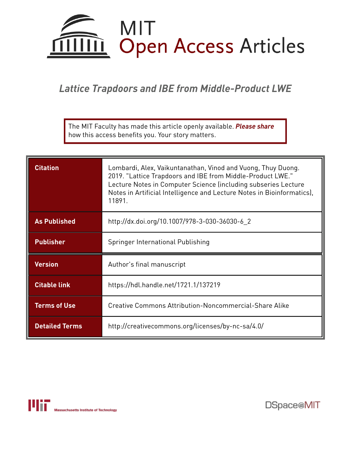

# *Lattice Trapdoors and IBE from Middle-Product LWE*

The MIT Faculty has made this article openly available. *[Please](https://libraries.mit.edu/forms/dspace-oa-articles.html) share* how this access benefits you. Your story matters.

| <b>Citation</b>       | Lombardi, Alex, Vaikuntanathan, Vinod and Vuong, Thuy Duong.<br>2019. "Lattice Trapdoors and IBE from Middle-Product LWE."<br>Lecture Notes in Computer Science (including subseries Lecture<br>Notes in Artificial Intelligence and Lecture Notes in Bioinformatics),<br>11891. |
|-----------------------|----------------------------------------------------------------------------------------------------------------------------------------------------------------------------------------------------------------------------------------------------------------------------------|
| <b>As Published</b>   | http://dx.doi.org/10.1007/978-3-030-36030-6 2                                                                                                                                                                                                                                    |
| <b>Publisher</b>      | Springer International Publishing                                                                                                                                                                                                                                                |
| <b>Version</b>        | Author's final manuscript                                                                                                                                                                                                                                                        |
| <b>Citable link</b>   | https://hdl.handle.net/1721.1/137219                                                                                                                                                                                                                                             |
| <b>Terms of Use</b>   | Creative Commons Attribution-Noncommercial-Share Alike                                                                                                                                                                                                                           |
| <b>Detailed Terms</b> | http://creativecommons.org/licenses/by-nc-sa/4.0/                                                                                                                                                                                                                                |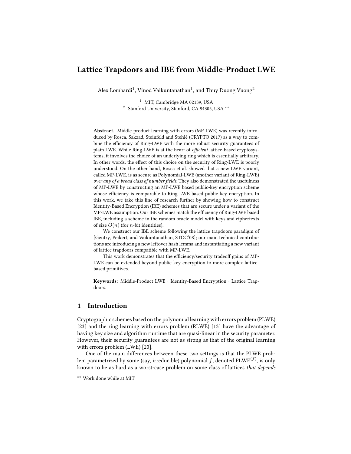## Lattice Trapdoors and IBE from Middle-Product LWE

Alex Lombardi $^1$ , Vinod Vaikuntanathan $^1$ , and Thuy Duong Vuong $^2$ 

<sup>1</sup> MIT, Cambridge MA 02139, USA  $^2\,$  Stanford University, Stanford, CA 94305, USA  $^{\star\star}$ 

Abstract. Middle-product learning with errors (MP-LWE) was recently introduced by Rosca, Sakzad, Steinfeld and Stehlé (CRYPTO 2017) as a way to combine the efficiency of Ring-LWE with the more robust security guarantees of plain LWE. While Ring-LWE is at the heart of *efficient* lattice-based cryptosystems, it involves the choice of an underlying ring which is essentially arbitrary. In other words, the effect of this choice on the security of Ring-LWE is poorly understood. On the other hand, Rosca et al. showed that a new LWE variant, called MP-LWE, is as secure as Polynomial-LWE (another variant of Ring-LWE) over any of a broad class of number fields. They also demonstrated the usefulness of MP-LWE by constructing an MP-LWE based public-key encryption scheme whose efficiency is comparable to Ring-LWE based public-key encryption. In this work, we take this line of research further by showing how to construct Identity-Based Encryption (IBE) schemes that are secure under a variant of the MP-LWE assumption. Our IBE schemes match the efficiency of Ring-LWE based IBE, including a scheme in the random oracle model with keys and ciphertexts of size  $O(n)$  (for *n*-bit identities).

We construct our IBE scheme following the lattice trapdoors paradigm of [Gentry, Peikert, and Vaikuntanathan, STOC'08]; our main technical contributions are introducing a new leftover hash lemma and instantiating a new variant of lattice trapdoors compatible with MP-LWE.

This work demonstrates that the efficiency/security tradeoff gains of MP-LWE can be extended beyond public-key encryption to more complex latticebased primitives.

Keywords: Middle-Product LWE · Identity-Based Encryption · Lattice Trapdoors.

## 1 Introduction

Cryptographic schemes based on the polynomial learning with errors problem (PLWE) [23] and the ring learning with errors problem (RLWE) [13] have the advantage of having key size and algorithm runtime that are quasi-linear in the security parameter. However, their security guarantees are not as strong as that of the original learning with errors problem (LWE) [20].

One of the main differences between these two settings is that the PLWE problem parametrized by some (say, irreducible) polynomial  $f$ , denoted PLWE $^{(f)}$ , is only known to be as hard as a worst-case problem on some class of lattices that depends

 $^{\star\star}$  Work done while at MIT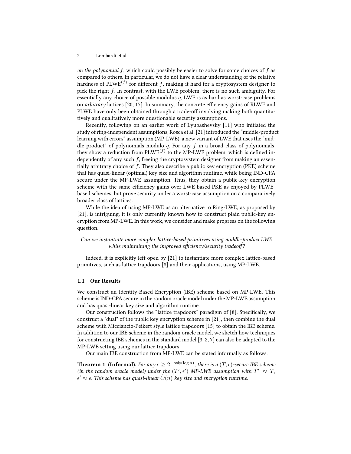on the polynomial f, which could possibly be easier to solve for some choices of f as compared to others. In particular, we do not have a clear understanding of the relative hardness of PLWE $^{\left(f\right)}$  for different  $f$ , making it hard for a cryptosystem designer to pick the right  $f$ . In contrast, with the LWE problem, there is no such ambiguity. For essentially any choice of possible modulus  $q$ , LWE is as hard as worst-case problems on *arbitrary* lattices  $[20, 17]$ . In summary, the concrete efficiency gains of RLWE and PLWE have only been obtained through a trade-off involving making both quantitatively and qualitatively more questionable security assumptions.

Recently, following on an earlier work of Lyubashevsky [11] who initiated the study of ring-independent assumptions, Rosca et al. [21] introduced the "middle-product learning with errors" assumption (MP-LWE), a new variant of LWE that uses the "middle product" of polynomials modulo  $q$ . For any  $f$  in a broad class of polynomials, they show a reduction from  $\operatorname{PLWE}^{(f)}$  to the MP-LWE problem, which is defined independently of any such  $f$ , freeing the cryptosystem designer from making an essentially arbitrary choice of  $f$ . They also describe a public key encryption (PKE) scheme that has quasi-linear (optimal) key size and algorithm runtime, while being IND-CPA secure under the MP-LWE assumption. Thus, they obtain a public-key encryption scheme with the same efficiency gains over LWE-based PKE as enjoyed by PLWEbased schemes, but prove security under a worst-case assumption on a comparatively broader class of lattices.

While the idea of using MP-LWE as an alternative to Ring-LWE, as proposed by [21], is intriguing, it is only currently known how to construct plain public-key encryption from MP-LWE. In this work, we consider and make progress on the following question.

## Can we instantiate more complex lattice-based primitives using middle-product LWE while maintaining the improved efficiency/security tradeoff?

Indeed, it is explicitly left open by [21] to instantiate more complex lattice-based primitives, such as lattice trapdoors [8] and their applications, using MP-LWE.

#### 1.1 Our Results

We construct an Identity-Based Encryption (IBE) scheme based on MP-LWE. This scheme is IND-CPA secure in the random oracle model under the MP-LWE assumption and has quasi-linear key size and algorithm runtime.

Our construction follows the "lattice trapdoors" paradigm of [8]. Specifically, we construct a "dual" of the public key encryption scheme in [21], then combine the dual scheme with Micciancio-Peikert style lattice trapdoors [15] to obtain the IBE scheme. In addition to our IBE scheme in the random oracle model, we sketch how techniques for constructing IBE schemes in the standard model [3, 2, 7] can also be adapted to the MP-LWE setting using our lattice trapdoors.

Our main IBE construction from MP-LWE can be stated informally as follows.

**Theorem 1 (Informal).** For any  $\epsilon \geq 2^{-poly(\log n)}$ , there is a  $(T, \epsilon)$ -secure IBE scheme (in the random oracle model) under the  $(T', \epsilon')$  MP-LWE assumption with  $T' \approx T$ ,  $\epsilon' \approx \epsilon$ . This scheme has quasi-linear  $\tilde{O}(n)$  key size and encryption runtime.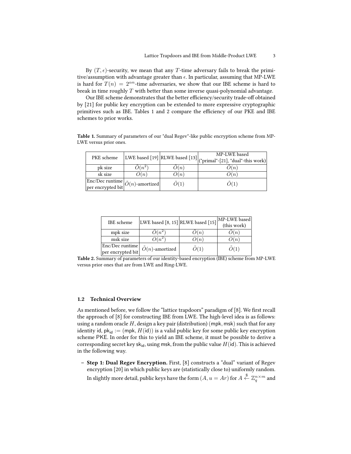By  $(T, \epsilon)$ -security, we mean that any T-time adversary fails to break the primitive/assumption with advantage greater than  $\epsilon$ . In particular, assuming that MP-LWE is hard for  $T(n) = 2^{\alpha n}$ -time adversaries, we show that our IBE scheme is hard to break in time roughly  $T$  with better than some inverse quasi-polynomial advantage.

Our IBE scheme demonstrates that the better efficiency/security trade-off obtained by [21] for public key encryption can be extended to more expressive cryptographic primitives such as IBE. Tables 1 and 2 compare the efficiency of our PKE and IBE schemes to prior works.

| PKE scheme                                      |                    |                  | MP-LWE based<br>  LWE based [19] $\bigl \text{RLWE based [13]} \bigr _{\text{("primal"-[21], "dual"-this work)}}\bigr $ |
|-------------------------------------------------|--------------------|------------------|-------------------------------------------------------------------------------------------------------------------------|
| pk size                                         | $\mathcal{D}(n^2)$ | D(n)             | $\lambda(n)$                                                                                                            |
| sk size                                         | O(n)               | $\mathcal{Y}(n)$ | $\mathcal{O}(n)$                                                                                                        |
| Enc/Dec runtime $\left \tilde{O}(n)$ -amortized |                    | O(1)             | O(1)                                                                                                                    |

Table 1. Summary of parameters of our "dual Regev"-like public encryption scheme from MP-LWE versus prior ones.

| <b>IBE</b> scheme | LWE based [8, 15] RLWE based [15] |              | MP-LWE based |
|-------------------|-----------------------------------|--------------|--------------|
|                   |                                   |              | (this work)  |
| mpk size          | $\mathcal{N}(n^2)$                | $\lambda(n)$ |              |
| msk size          | $\mathcal{N}(n^2)$                | $\eta(n)$    |              |
| Enc/Dec runtime   | $\tilde{O}(n)$ -amortized         | O(1)         |              |
| per encrypted bit |                                   |              |              |

Table 2. Summary of parameters of our identity-based encryption (IBE) scheme from MP-LWE versus prior ones that are from LWE and Ring-LWE.

#### 1.2 Technical Overview

As mentioned before, we follow the "lattice trapdoors" paradigm of  $[8]$ . We first recall the approach of [8] for constructing IBE from LWE. The high-level idea is as follows: using a random oracle  $H$ , design a key pair (distribution) (mpk, msk) such that for any identity id,  $pk_{id} := (mpk, H(id))$  is a valid public key for some public key encryption scheme PKE. In order for this to yield an IBE scheme, it must be possible to derive a corresponding secret key sk<sub>id</sub>, using msk, from the public value  $H(id)$ . This is achieved in the following way.

– Step 1: Dual Regev Encryption. First, [8] constructs a "dual" variant of Regev encryption [20] in which public keys are (statistically close to) uniformly random. In slightly more detail, public keys have the form  $(A,u=Ar)$  for  $A\stackrel{\$}{\leftarrow}\mathbb{Z}_q^{n\times m}$  and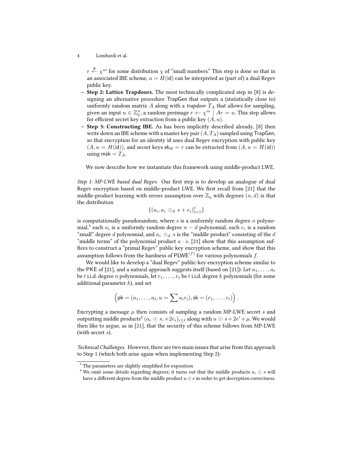$r \overset{\$}{\leftarrow} \chi^m$  for some distribution  $\chi$  of "small numbers." This step is done so that in an associated IBE scheme,  $u = H(id)$  can be interpreted as (part of) a dual Regev public key.

- Step 2: Lattice Trapdoors. The most technically complicated step in [8] is designing an alternative procedure TrapGen that outputs a (statistically close to) uniformly random matrix  $A$  along with a *trapdoor*  $T_A$  that allows for sampling, given an input  $u \in \mathbb{Z}_q^n$ , a random preimage  $r \leftarrow \chi^m \mid Ar = u$ . This step allows for efficient secret key extraction from a public key  $(A, u)$ .
- Step 3: Constructing IBE. As has been implicitly described already, [8] then write down an IBE scheme with a master key pair  $(A, T_A)$  sampled using TrapGen, so that encryption for an identity id uses dual Regev encryption with public key  $(A, u = H(id))$ , and secret keys sk<sub>id</sub> = r can be extracted from  $(A, u = H(id))$ using msk =  $T_A$ .

We now describe how we instantiate this framework using middle-product LWE.

Step 1: MP-LWE based dual Regev. Our first step is to develop an analogue of dual Regev encryption based on middle-product LWE. We first recall from [21] that the middle-product learning with errors assumption over  $\mathbb{Z}_q$  with degrees  $(n, d)$  is that the distribution

$$
\{(a_i, a_i \odot_d s + e_i)_{i=1}^t\}
$$

is computationally pseudorandom, where  $s$  is a uniformly random degree  $n$  polynomial, $^3$  each  $a_i$  is a uniformly random degree  $n-d$  polynomial, each  $e_i$  is a random "small" degree d polynomial, and  $a_i \odot_d s$  is the "middle product" consisting of the d "middle terms" of the polynomial product  $a \cdot s$ . [21] show that this assumption suffices to construct a "primal Regev" public key encryption scheme, and show that this assumption follows from the hardness of  $\mathsf{PLWE}^{(f)}$  for various polynomials  $f.$ 

We would like to develop a "dual Regev" public-key encryption scheme similar to the PKE of [21], and a natural approach suggests itself (based on [21]): Let  $a_1, \ldots, a_t$ be t i.i.d. degree n polynomials, let  $r_1, \ldots, r_t$  be t i.i.d. degree k polynomials (for some additional parameter  $k$ ), and set

$$
\left(\mathsf{pk}=(a_1,\ldots,a_t,u=\sum a_ir_i),\mathsf{sk}=(r_1,\ldots,r_t)\right).
$$

Encrypting a message  $\mu$  then consists of sampling a random MP-LWE secret  $s$  and outputting middle products ${}^4$   $(a_i \odot s, +2e_i)_{i \leq t}$  along with  $u \odot s + 2e' + \mu$ . We would then like to argue, as in [21], that the security of this scheme follows from MP-LWE (with secret  $s$ ).

Technical Challenges. However, there are two main issues that arise from this approach to Step 1 (which both arise again when implementing Step 2):

 $^3$  The parameters are slightly simplified for exposition

<sup>&</sup>lt;sup>4</sup> We omit some details regarding degrees; it turns out that the middle products  $a_i \odot s$  will have a different degree from the middle product  $u \odot s$  in order to get decryption correctness.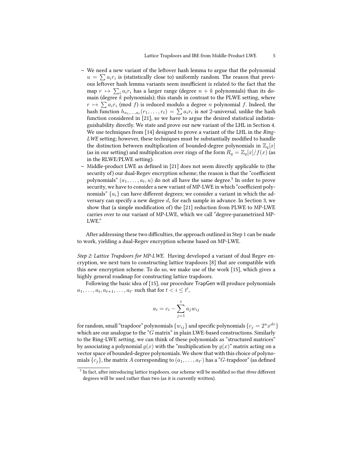- We need a new variant of the leftover hash lemma to argue that the polynomial  $u = \sum a_i r_i$  is (statistically close to) uniformly random. The reason that previous leftover hash lemma variants seem insufficient is related to the fact that the map  $r \mapsto \sum_i a_i r_i$  has a larger range (degree  $n + k$  polynomials) than its domain (degree  $k$  polynomials); this stands in contrast to the PLWE setting, where  $r\, \mapsto\, \sum a_ir_i \pmod{f}$  is reduced modulo a degree  $n$  polynomial  $f.$  Indeed, the hash function  $h_{a_1,...,a_t}(r_1,\ldots,r_t)=\sum a_ir_i$  is *not* 2-universal, unlike the hash function considered in [21], so we have to argue the desired statistical indistinguishability directly. We state and prove our new variant of the LHL in Section 4. We use techniques from [14] designed to prove a variant of the LHL in the Ring-LWE setting; however, these techniques must be substantially modified to handle the distinction between multiplication of bounded-degree polynomials in  $\mathbb{Z}_q[x]$ (as in our setting) and multiplication over rings of the form  $R_q = \mathbb{Z}_q[x]/f(x)$  (as in the RLWE/PLWE setting).
- Middle-product LWE as defined in [21] does not seem directly applicable to (the security of) our dual-Regev encryption scheme; the reason is that the "coefficient polynomials"  $(a_1,\ldots,a_t,u)$  do not all have the same degree. $^5$  In order to prove security, we have to consider a new variant of MP-LWE in which "coefficient polynomials"  $\{a_i\}$  can have different degrees; we consider a variant in which the adversary can specify a new degree  $d_i$  for each sample in advance. In Section 3, we show that (a simple modification of) the [21] reduction from PLWE to MP-LWE carries over to our variant of MP-LWE, which we call "degree-parametrized MP-LWE."

After addressing these two difficulties, the approach outlined in Step 1 can be made to work, yielding a dual-Regev encryption scheme based on MP-LWE.

Step 2: Lattice Trapdoors for MP-LWE. Having developed a variant of dual Regev encryption, we next turn to constructing lattice trapdoors [8] that are compatible with this new encryption scheme. To do so, we make use of the work [15], which gives a highly general roadmap for constructing lattice trapdoors.

Following the basic idea of [15], our procedure TrapGen will produce polynomials  $a_1, \ldots, a_t, a_{t+1}, \ldots, a_{t'}$  such that for  $t < i \leq t'$ ,

$$
a_i = c_i - \sum_{j=1}^t a_j w_{ij}
$$

for random, small "trapdoor" polynomials  $\{w_{ij}\}$  and specific polynomials  $\{c_j=2^ux^{dv}\}$ which are our analogue to the " $G$  matrix" in plain LWE-based constructions. Similarly to the Ring-LWE setting, we can think of these polynomials as "structured matrices" by associating a polynomial  $g(x)$  with the "multiplication by  $g(x)$ " matrix acting on a vector space of bounded-degree polynomials. We show that with this choice of polynomials  $\{c_j\}$ , the matrix  $A$  corresponding to  $(a_1,\ldots,a_{t'})$  has a " $G$ -trapdoor" (as defined

 $^5$  In fact, after introducing lattice trapdoors, our scheme will be modified so that *three* different degrees will be used rather than two (as it is currently written).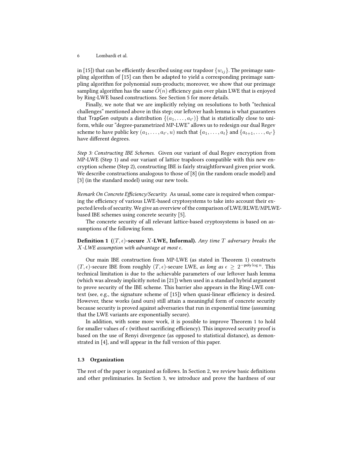in [15]) that can be efficiently described using our trapdoor  $\{w_{ij}\}$ . The preimage sampling algorithm of [15] can then be adapted to yield a corresponding preimage sampling algorithm for polynomial sum-products; moreover, we show that our preimage sampling algorithm has the same  $\tilde{O}(n)$  efficiency gain over plain LWE that is enjoyed by Ring-LWE based constructions. See Section 5 for more details.

Finally, we note that we are implicitly relying on resolutions to both "technical challenges" mentioned above in this step; our leftover hash lemma is what guarantees that TrapGen outputs a distribution  $\{(a_1,\ldots,a_{t'})\}$  that is statistically close to uniform, while our "degree-parametrized MP-LWE" allows us to redesign our dual Regev scheme to have public key  $(a_1, \ldots, a_{t'}, u)$  such that  $\{a_1, \ldots, a_t\}$  and  $\{a_{t+1}, \ldots, a_{t'}\}$ have different degrees.

Step 3: Constructing IBE Schemes. Given our variant of dual Regev encryption from MP-LWE (Step 1) and our variant of lattice trapdoors compatible with this new encryption scheme (Step 2), constructing IBE is fairly straightforward given prior work. We describe constructions analogous to those of [8] (in the random oracle model) and [3] (in the standard model) using our new tools.

Remark On Concrete Efficiency/Security. As usual, some care is required when comparing the efficiency of various LWE-based cryptosystems to take into account their expected levels of security. We give an overview of the comparison of LWE/RLWE/MPLWEbased IBE schemes using concrete security [5].

The concrete security of all relevant lattice-based cryptosystems is based on assumptions of the following form.

**Definition 1** ((T,  $\epsilon$ )-secure X-LWE, Informal). Any time T adversary breaks the  $X$ -LWE assumption with advantage at most  $\epsilon$ .

Our main IBE construction from MP-LWE (as stated in Theorem 1) constructs  $(T, \epsilon)$ -secure IBE from roughly  $(T, \epsilon)$ -secure LWE, as long as  $\epsilon \geq 2^{-\text{poly}\log n}$ . This technical limitation is due to the achievable parameters of our leftover hash lemma (which was already implicitly noted in [21]) when used in a standard hybrid argument to prove security of the IBE scheme. This barrier also appears in the Ring-LWE context (see, e.g., the signature scheme of  $[15]$ ) when quasi-linear efficiency is desired. However, these works (and ours) still attain a meaningful form of concrete security because security is proved against adversaries that run in exponential time (assuming that the LWE variants are exponentially secure).

In addition, with some more work, it is possible to improve Theorem 1 to hold for smaller values of  $\epsilon$  (without sacrificing efficiency). This improved security proof is based on the use of Renyi divergence (as opposed to statistical distance), as demonstrated in [4], and will appear in the full version of this paper.

#### 1.3 Organization

The rest of the paper is organized as follows. In Section 2, we review basic definitions and other preliminaries. In Section 3, we introduce and prove the hardness of our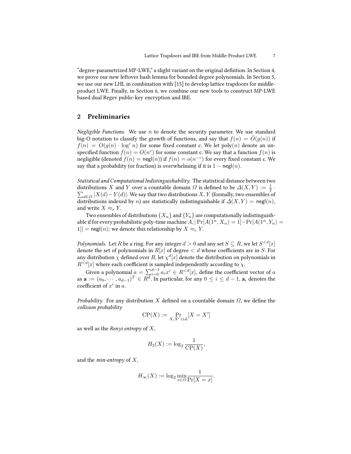"degree-parametrized MP-LWE," a slight variant on the original defintion. In Section 4, we prove our new leftover hash lemma for bounded degree polynomials. In Section 5, we use our new LHL in combination with [15] to develop lattice trapdoors for middleproduct LWE. Finally, in Section 6, we combine our new tools to construct MP-LWE based dual Regev public-key encryption and IBE.

## 2 Preliminaries

Negligible Functions. We use  $n$  to denote the security parameter. We use standard big-O notation to classify the growth of functions, and say that  $f(n) = O(g(n))$  if  $f(n) = O(g(n) \cdot \log^c n)$  for some fixed constant c. We let poly $(n)$  denote an unspecified function  $f(n) = O(n^c)$  for some constant c. We say that a function  $f(n)$  is negligible (denoted  $f(n) = \mathsf{negl}(n)$ ) if  $f(n) = o(n^{-c})$  for every fixed constant c. We say that a probability (or fraction) is overwhelming if it is  $1 - \text{negl}(n)$ .

Statistical and Computational Indistinguishability. The statistical distance between two distributions X and Y over a countable domain  $\Omega$  is defined to be  $\Delta(X, Y) := \frac{1}{2}$ distributions  $X$  and  $Y$  over a countable domain  $\Omega$  is defined to be  $\Delta(X,Y) := \frac{1}{2} \cdot \sum_{d \in \Omega} |X(d) - Y(d)|$ . We say that two distributions  $X, Y$  (formally, two ensembles of distributions indexed by n) are statistically indistinguishable if  $\Delta(X, Y) = \text{negl}(n)$ , and write  $X \approx_s Y$ .

Two ensembles of distributions  $\{X_n\}$  and  $\{Y_n\}$  are computationally indistinguishable if for every probabilistic poly-time machine  $A, |\Pr[A(1^n, X_n) = 1] - \Pr[A(1^n, Y_n) =$ 1] = negl(*n*); we denote this relationship by  $X \approx_c Y$ .

*Polynomials.* Let  $R$  be a ring. For any integer  $d>0$  and any set  $S\subseteq R,$  we let  $S^{< d}[x]$ denote the set of polynomials in  $R[x]$  of degree  $\lt d$  whose coefficients are in S. For any distribution  $\chi$  defined over  $R$ , let  $\chi^d[x]$  denote the distribution on polynomials in  $R^{\leq d}[x]$  where each coefficient is sampled independently according to  $\chi.$ 

Given a polynomial  $a = \sum_{i=0}^{d-1} a_i x^i \in R^{, define the coefficient vector of  $a$$ as  $\mathbf{a}:=(a_0,\cdots,a_{d-1})^T\in R^d.$  In particular, for any  $0\leq i\leq d-1,$   $\mathbf{a}_i$  denotes the coefficient of  $x^i$  in a.

*Probability.* For any distribution X defined on a countable domain  $\Omega$ , we define the collision probability

$$
\mathsf{CP}(X) := \Pr_{X, X' \text{ i.i.d.}}[X = X']
$$

as well as the Renyi entropy of  $X$ ,

$$
H_2(X) := \log_2 \frac{1}{\text{CP}(X)},
$$

and the *min-entropy* of  $X$ ,

$$
H_{\infty}(X) := \log_2 \min_{x \in \Omega} \frac{1}{\Pr[X = x]}.
$$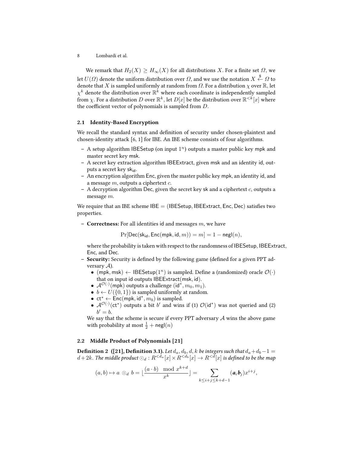We remark that  $H_2(X) \ge H_{\infty}(X)$  for all distributions X. For a finite set  $\Omega$ , we let  $U(\varOmega)$  denote the uniform distribution over  $\varOmega,$  and we use the notation  $X\overset{\$}{\leftarrow}\varOmega$  to denote that X is sampled uniformly at random from  $\Omega$ . For a distribution  $\chi$  over  $\mathbb R$ , let  $\chi^k$  denote the distribution over  $\mathbb{R}^k$  where each coordinate is independently sampled from  $\chi.$  For a distribution  $D$  over  $\mathbb{R}^k,$  let  $D[x]$  be the distribution over  $\mathbb{R}^{< k}[x]$  where the coefficient vector of polynomials is sampled from  $D$ .

#### 2.1 Identity-Based Encryption

We recall the standard syntax and definition of security under chosen-plaintext and chosen-identity attack [6, 1] for IBE. An IBE scheme consists of four algorithms.

- $-$  A setup algorithm IBESetup (on input  $1<sup>n</sup>$ ) outputs a master public key mpk and master secret key msk.
- A secret key extraction algorithm IBEExtract, given msk and an identity id, outputs a secret key sk<sub>id</sub>.
- An encryption algorithm Enc, given the master public key mpk, an identity id, and a message  $m$ , outputs a ciphertext  $c$ .
- A decryption algorithm Dec, given the secret key sk and a ciphertext  $c$ , outputs a message m.

We require that an IBE scheme  $IBE = (IBESetup, IBEExtract, Enc, Dec)$  satisfies two properties.

– **Correctness:** For all identities id and messages  $m$ , we have

 $Pr[Dec(\text{sk}_{id}, Enc(mpk, id, m)) = m] = 1 - negl(n),$ 

where the probability is taken with respect to the randomness of IBESetup, IBEExtract, Enc, and Dec.

- Security: Security is defined by the following game (defined for a given PPT adversary  $\mathcal{A}$ ).
	- (mpk, msk)  $\leftarrow$  IBESetup(1<sup>n</sup>) is sampled. Define a (randomized) oracle  $\mathcal{O}(\cdot)$ that on input id outputs IBEExtract(msk, id).
	- $\mathcal{A}^{\mathcal{O}(\cdot)}(\textsf{mpk})$  outputs a challenge (id<sup>\*</sup>,  $m_0, m_1$ ).
	- $b \leftarrow U(\{0, 1\})$  is sampled uniformly at random.
	- $ct^* \leftarrow \text{Enc}(\text{mpk}, \text{id}^*, m_b)$  is sampled.
	- $\mathcal{A}^{\mathcal{O}(\cdot)}(\text{ct}^*)$  outputs a bit b' and wins if (1)  $\mathcal{O}(\text{id}^*)$  was not queried and (2)  $b'=b.$

We say that the scheme is secure if every PPT adversary  $A$  wins the above game with probability at most  $\frac{1}{2} + \mathsf{negl}(n)$ 

#### 2.2 Middle Product of Polynomials [21]

**Definition 2** ([21], Definition 3.1). Let  $d_a$ ,  $d_b$ ,  $d$ ,  $k$  be integers such that  $d_a+d_b-1=$  $d+2k.$  The middle product  $\odot_d: R^{< d_a}[x] \times R^{< d_b}[x] \rightarrow R^{< d}[x]$  is defined to be the map

$$
(a,b)\mapsto a\odot_d b=\lfloor\frac{(a\cdot b)\mod x^{k+d}}{x^k}\rfloor=\sum_{k\leq i+j\leq k+d-1}(a_ib_j)x^{i+j},
$$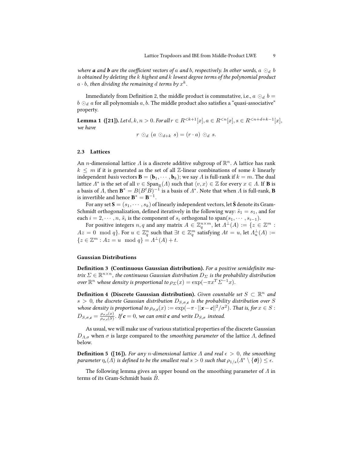where **a** and **b** are the coefficient vectors of a and b, respectively. In other words,  $a \odot_d b$ is obtained by deleting the  $k$  highest and  $k$  lowest degree terms of the polynomial product  $a\cdot b,$  then dividing the remaining  $d$  terms by  $x^k.$ 

Immediately from Definition 2, the middle product is commutative, i.e.,  $a \odot_d b =$  $b \odot_d a$  for all polynomials  $a, b$ . The middle product also satisfies a "quasi-associative" property.

**Lemma 1 ([21]).** Let  $d, k, n > 0$ . For all  $r \in R^{,  $a \in R^{,  $s \in R^{,$$$ we have

$$
r \odot_d (a \odot_{d+k} s) = (r \cdot a) \odot_d s.
$$

#### 2.3 Lattices

An *n*-dimensional lattice  $\Lambda$  is a discrete additive subgroup of  $\mathbb{R}^n$ . A lattice has rank  $k \leq m$  if it is generated as the set of all  $\mathbb{Z}$ -linear combinations of some k linearly independent basis vectors  $\mathbf{B} = (\mathbf{b}_1, \dots, \mathbf{b}_k)$ ; we say  $\Lambda$  is full-rank if  $k = m$ . The dual lattice  $\Lambda^*$  is the set of all  $v \in \text{Span}_{\mathbb{R}}(\Lambda)$  such that  $\langle v, x \rangle \in \mathbb{Z}$  for every  $x \in \Lambda$ . If **B** is a basis of  $\varLambda,$  then  $\mathbf{B}^*=B(B^tB)^{-1}$  is a basis of  $\varLambda^*.$  Note that when  $\varLambda$  is full-rank,  $\mathbf B$ is invertible and hence  $\mathbf{B}^*=\mathbf{B}^{-1}.$ 

For any set  $\mathbf{S} = (s_1, \cdots, s_k)$  of linearly independent vectors, let  $\tilde{\mathbf{S}}$  denote its Gram-Schmidt orthogonalization, defined iteratively in the following way:  $\tilde{s}_1 = s_1$ , and for each  $i = 2, \dots, n$ ,  $\tilde{s}_i$  is the component of  $s_i$  orthogonal to span $(s_1, \dots, s_{i-1})$ .

For positive integers  $n,q$  and any matrix  $A\in \mathbb{Z}_q^{n\times m},$  let  $A^{\perp}(A):=\{z\in \mathbb{Z}^m:$  $Az = 0 \mod q$ . For  $u \in \mathbb{Z}_q^n$  such that  $\exists t \in \mathbb{Z}_q^m$  satisfying  $At = u$ , let  $\Lambda_u^{\perp}(A) :=$  ${z \in \mathbb{Z}^m : Az = u \mod q} = A^{\perp}(A) + t.$ 

## Gaussian Distributions

Definition 3 (Continuous Gaussian distribution). For a positive semidefinite matrix  $\Sigma \in \mathbb{R}^{n \times n},$  the continuous Gaussian distribution  $D_\Sigma$  is the probability distribution over  $\mathbb{R}^n$  whose density is proportional to  $\rho_{\Sigma}(x) = \exp(-\pi x^T \Sigma^{-1} x)$ .

Definition 4 (Discrete Gaussian distribution). Given countable set  $S \subset \mathbb{R}^n$  and s > 0, the discrete Gaussian distribution  $D_{S,\sigma,c}$  is the probability distribution over S whose density is proportional to  $\rho_{\sigma,\mathbf{c}}(x) := \exp(-\pi \cdot ||\mathbf{x} - \mathbf{c}||^2 / \sigma^2)$ . That is, for  $x \in S$ :  $D_{S,\sigma,\boldsymbol{c}} = \frac{\rho_{\sigma,\boldsymbol{c}}(x)}{\rho_{\sigma,\boldsymbol{c}}(S)}$  $\frac{\rho_{\sigma,\mathbf{c}}(x)}{\rho_{\sigma,\mathbf{c}}(S)}$ . If  $\mathbf{c}=0$ , we can omit  $\mathbf{c}$  and write  $D_{S,\sigma}$  instead.

As usual, we will make use of various statistical properties of the discrete Gaussian  $D_{\Lambda,\sigma}$  when  $\sigma$  is large compared to the smoothing parameter of the lattice  $\Lambda$ , defined below.

**Definition 5** ([16]). For any n-dimensional lattice  $\Lambda$  and real  $\epsilon > 0$ , the smoothing parameter  $\eta_\epsilon(\varLambda)$  is defined to be the smallest real  $s>0$  such that  $\rho_{1/s}(\varLambda^*\setminus\{\textbf{\textit{0}}\})\leq\epsilon.$ 

The following lemma gives an upper bound on the smoothing parameter of  $\Lambda$  in terms of its Gram-Schmidt basis  $B$ .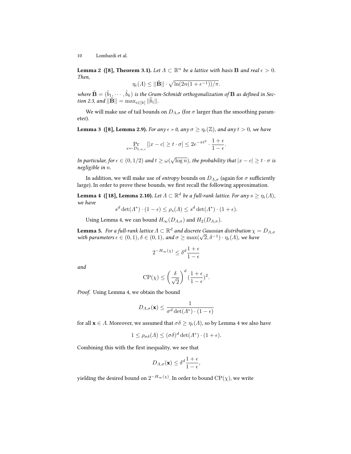**Lemma 2** ([8], Theorem 3.1). Let  $\Lambda \subset \mathbb{R}^n$  be a lattice with basis **B** and real  $\epsilon > 0$ . Then,

$$
\eta_{\epsilon}(A) \le ||\tilde{\mathbf{B}}|| \cdot \sqrt{\ln(2n(1+\epsilon^{-1}))/\pi}.
$$

where  $\tilde{\mathbf{B}}=(\tilde{b}_1,\cdots,\tilde{b}_k)$  is the Gram-Schmidt orthogonalization of  $\mathbf{B}$  as defined in Section 2.3, and  $||\tilde{\mathbf{B}}|| = \max_{i \in [k]} ||\tilde{b}_i||.$ 

We will make use of tail bounds on  $D_{A,\sigma}$  (for  $\sigma$  larger than the smoothing parameter).

**Lemma 3** ([8], Lemma 2.9). For any  $\epsilon > 0$ , any  $\sigma \ge \eta_{\epsilon}(\mathbb{Z})$ , and any  $t > 0$ , we have

$$
\Pr_{x \leftarrow D_{\mathbb{Z}, \sigma, c}} \left[ |x - c| \ge t \cdot \sigma \right] \le 2e^{-\pi t^2} \cdot \frac{1 + \epsilon}{1 - \epsilon}.
$$

In particular, for  $\epsilon\in(0,1/2)$  and  $t\geq\omega(\sqrt{\log n})$ , the probability that  $|x-c|\geq t\cdot\sigma$  is negligible in n.

In addition, we will make use of *entropy* bounds on  $D_{\Lambda,\sigma}$  (again for  $\sigma$  sufficiently large). In order to prove these bounds, we first recall the following approximation.

**Lemma 4 ([18], Lemma 2.10).** Let  $\Lambda \subset \mathbb{R}^d$  be a full-rank lattice. For any  $s \geq \eta_\epsilon(\Lambda)$ , we have

$$
s^{d} \det(\Lambda^*) \cdot (1 - \epsilon) \le \rho_s(\Lambda) \le s^{d} \det(\Lambda^*) \cdot (1 + \epsilon).
$$

Using Lemma 4, we can bound  $H_{\infty}(D_{\Lambda,\sigma})$  and  $H_2(D_{\Lambda,\sigma})$ .

**Lemma 5.** For a full-rank lattice  $\Lambda \subset \mathbb{R}^d$  and discrete Gaussian distribution  $\chi = D_{A,\sigma}$ **Lemma 5.** For a full-rank lattice  $A \subseteq \mathbb{R}^{\infty}$  and alscrete Gaussian alstribution  $\chi =$ <br>with parameters  $\epsilon \in (0,1), \delta \in (0,1)$ , and  $\sigma \ge \max(\sqrt{2}, \delta^{-1}) \cdot \eta_{\epsilon}(A)$ , we have

$$
2^{-H_{\infty}(\chi)} \le \delta^d \frac{1+\epsilon}{1-\epsilon}
$$

and

$$
CP(\chi) \le \left(\frac{\delta}{\sqrt{2}}\right)^d \left(\frac{1+\epsilon}{1-\epsilon}\right)^2.
$$

Proof. Using Lemma 4, we obtain the bound

$$
D_{\Lambda,\sigma}(\mathbf{x}) \le \frac{1}{\sigma^d \det(\Lambda^*) \cdot (1-\epsilon)}
$$

for all  $\mathbf{x} \in \Lambda$ . Moreover, we assumed that  $\sigma \delta \geq \eta_{\epsilon}(\Lambda)$ , so by Lemma 4 we also have

$$
1 \leq \rho_{\sigma\delta}(A) \leq (\sigma\delta)^d \det(A^*) \cdot (1+\epsilon).
$$

Combining this with the first inequality, we see that

$$
D_{\varLambda,\sigma}(\mathbf{x})\leq \delta^d\frac{1+\epsilon}{1-\epsilon},
$$

yielding the desired bound on  $2^{-H_\infty(\chi)}$ . In order to bound  $\mathrm{CP}(\chi)$ , we write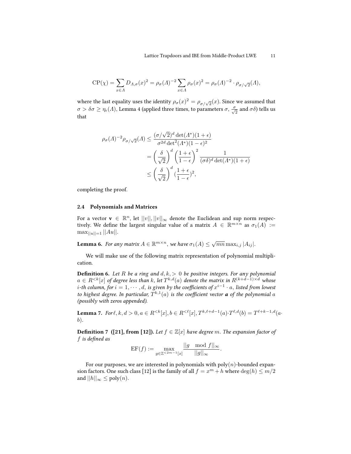$$
CP(\chi) = \sum_{x \in \Lambda} D_{\Lambda,\sigma}(x)^2 = \rho_{\sigma}(\Lambda)^{-2} \sum_{x \in \Lambda} \rho_{\sigma}(x)^2 = \rho_{\sigma}(\Lambda)^{-2} \cdot \rho_{\sigma/\sqrt{2}}(\Lambda),
$$

where the last equality uses the identity  $\rho_{\sigma}(x)^2 = \rho_{\sigma/\sqrt{2}}(x)$ . Since we assumed that  $\sigma > \delta \sigma \ge \eta_\epsilon(A)$ , Lemma 4 (applied three times, to parameters  $\sigma, \frac{\sigma}{\sqrt{2}}$  and  $\sigma \delta$ ) tells us that

$$
\rho_{\sigma}(A)^{-2} \rho_{\sigma/\sqrt{2}}(A) \leq \frac{(\sigma/\sqrt{2})^d \det(A^*)(1+\epsilon)}{\sigma^{2d} \det^2(A^*)(1-\epsilon)^2}
$$
  
= 
$$
\left(\frac{\delta}{\sqrt{2}}\right)^d \left(\frac{1+\epsilon}{1-\epsilon}\right)^2 \frac{1}{(\sigma \delta)^d \det(A^*)(1+\epsilon)}
$$
  

$$
\leq \left(\frac{\delta}{\sqrt{2}}\right)^d \left(\frac{1+\epsilon}{1-\epsilon}\right)^2,
$$

completing the proof.

#### 2.4 Polynomials and Matrices

For a vector  $\mathbf{v} \in \mathbb{R}^n$ , let  $||v||, ||v||_{\infty}$  denote the Euclidean and sup norm respectively. We define the largest singular value of a matrix  $A \in \mathbb{R}^{m \times n}$  as  $\sigma_1(A) :=$  $\max_{||u||=1} ||Au||.$ 

**Lemma 6.** For any matrix  $A \in \mathbb{R}^{m \times n}$ , we have  $\sigma_1(A) \leq \sqrt{mn} \max_{i,j} |A_{ij}|$ .

We will make use of the following matrix representation of polynomial multiplication.

**Definition 6.** Let R be a ring and  $d, k, > 0$  be positive integers. For any polynomial  $a\in R^{< k}[x]$  of degree less than  $k$ , let  $T^{k,d}(a)$  denote the matrix in  $R^{(k+d-1)\times d}$  whose  $i$ -th column, for  $i=1,\cdots,d,$  is given by the coefficients of  $x^{i-1}\cdot a,$  listed from lowest to highest degree. In particular,  $T^{k,1}(a)$  is the coefficient vector **a** of the polynomial  $a$ (possibly with zeros appended).

**Lemma 7.** For  $\ell, k, d > 0, a \in R^{$ b).

**Definition 7** ([21], from [12]). Let  $f \in \mathbb{Z}[x]$  have degree m. The expansion factor of  $f$  is defined as

$$
EF(f) := \max_{g \in \mathbb{Z}^{< 2m-1}[x]} \frac{||g \mod f||_{\infty}}{||g||_{\infty}}.
$$

For our purposes, we are interested in polynomials with  $poly(n)$ -bounded expansion factors. One such class [12] is the family of all  $f = x^m + h$  where  $\deg(h) \leq m/2$ and  $||h||_{\infty} \leq \text{poly}(n)$ .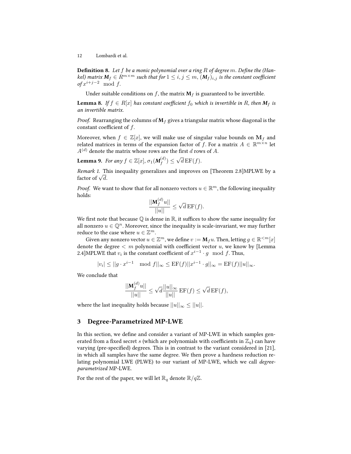**Definition 8.** Let f be a monic polynomial over a ring R of degree m. Define the (Hankel) matrix  $M_f \in R^{m \times m}$  such that for  $1 \leq i, j \leq m$ ,  $(M_f)_{i,j}$  is the constant coefficient of  $x^{i+j-2}$  mod f.

Under suitable conditions on  $f$ , the matrix  $M_f$  is guaranteed to be invertible.

**Lemma 8.** If  $f \in R[x]$  has constant coefficient  $f_0$  which is invertible in R, then  $M_f$  is an invertible matrix.

*Proof.* Rearranging the columns of  $M_f$  gives a triangular matrix whose diagonal is the constant coefficient of  $f$ .

Moreover, when  $f \in \mathbb{Z}[x]$ , we will make use of singular value bounds on  $\mathbf{M}_f$  and related matrices in terms of the expansion factor of f. For a matrix  $A \in \mathbb{R}^{m \times n}$  let  $A<sup>(d)</sup>$  denote the matrix whose rows are the first d rows of A.

**Lemma 9.** For any  $f \in \mathbb{Z}[x]$ ,  $\sigma_1(\mathbf{M}_f^{(d)})$  $\binom{a}{f} \leq$ √  $d \, \mathrm{EF}(f)$ .

Remark 1. This inequality generalizes and improves on [Theorem 2.8]MPLWE by a *Remark 1.* If  $\sqrt{d}$ .

*Proof.* We want to show that for all nonzero vectors  $u \in \mathbb{R}^m$ , the following inequality holds:

$$
\frac{||\mathbf{M}_f^{(d)}u||}{||u||} \le \sqrt{d} \,\mathrm{EF}(f).
$$

We first note that because  $\mathbb Q$  is dense in  $\mathbb R$ , it suffices to show the same inequality for all nonzero  $u \in \mathbb{Q}^n$ . Moreover, since the inequality is scale-invariant, we may further reduce to the case where  $u \in \mathbb{Z}^m$ .

Given any nonzero vector  $u\in\mathbb{Z}^m,$  we define  $v:=\mathbf{M}_fu.$  Then, letting  $g\in\mathbb{R}^{< m}[x]$ denote the degree  $\langle m \rangle$  polynomial with coefficient vector u, we know by [Lemma 2.4]MPLWE that  $v_i$  is the constant coefficient of  $x^{i-1} \cdot g \mod f$ . Thus,

$$
|v_i|\leq ||g\cdot x^{i-1}\mod f||_\infty\leq \mathrm{EF}(f)||x^{i-1}\cdot g||_\infty=\mathrm{EF}(f)||u||_\infty.
$$

We conclude that

$$
\frac{||\mathbf{M}_f^{(d)}u||}{||u||} \le \sqrt{d} \frac{||u||_{\infty}}{||u||} \mathbf{EF}(f) \le \sqrt{d} \mathbf{EF}(f),
$$

where the last inequality holds because  $||u||_{\infty} \leq ||u||$ .

## 3 Degree-Parametrized MP-LWE

In this section, we define and consider a variant of MP-LWE in which samples generated from a fixed secret s (which are polynomials with coefficients in  $\mathbb{Z}_q$ ) can have varying (pre-specified) degrees. This is in contrast to the variant considered in [21], in which all samples have the same degree. We then prove a hardness reduction relating polynomial LWE (PLWE) to our variant of MP-LWE, which we call degreeparametrized MP-LWE.

For the rest of the paper, we will let  $\mathbb{R}_q$  denote  $\mathbb{R}/q\mathbb{Z}$ .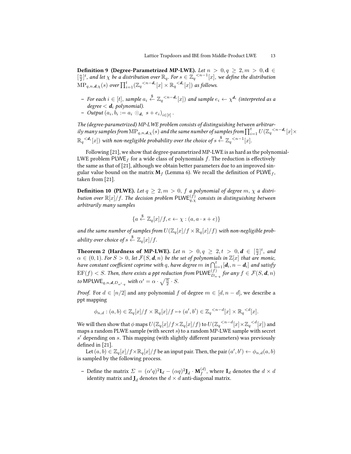Definition 9 (Degree-Parametrized MP-LWE). Let  $n > 0, q \ge 2, m > 0, d \in$  $[\frac{n}{2}]^t$ , and let  $\chi$  be a distribution over  $\mathbb{R}_q$ . For  $s\in\mathbb{Z}_q^{\leq n-1}[x]$ , we define the distribution  $\bar{\text{MP}}_{q,n,\bm{d},\chi}(s)$  over  $\prod_{i=1}^t (\mathbb{Z}_q^{\textstyle < n-\bm{d}_i}[x] \times \mathbb{R}_q^{\textstyle <\bm{d}_i}[x])$  as follows.

- $-$  For each  $i\in[t],$  sample  $a_i\stackrel{\$}{\leftarrow}\mathbb{Z}_q^{ and sample  $e_i\leftarrow\chi^{d_i}$  (interpreted as a$  $degree < d_i$  polynomial).
- $\text{-} Output(a_i, b_i := a_i \odot_{\mathbf{d}_i} s + e_i)_{i \in [t]}$ .

The (degree-parametrized) MP-LWE problem consists of distinguishing between arbitrarily many samples from  $\text{MP}_{q,n,d,\chi}(s)$  and the same number of samples from  $\prod_{i=1}^t U(\Z_q^{\,\,$  $\mathbb{R}_q^{\textstyle < d_i} [x] )$  with non-negligible probability over the choice of  $s \stackrel{\$}{\leftarrow} \mathbb{Z}_q^{\textstyle < n-1} [x]$ .

Following [21], we show that degree-parametrized MP-LWE is as hard as the polynomial-LWE problem PLWE<sub>f</sub> for a wide class of polynomials f. The reduction is effectively the same as that of [21], although we obtain better parameters due to an improved singular value bound on the matrix  $M_f$  (Lemma 6). We recall the definition of PLWE<sub>f</sub>, taken from [21].

**Definition 10 (PLWE).** Let  $q \geq 2, m > 0, f$  a polynomial of degree  $m, \chi$  a distribution over  $\mathbb{R}[x]/f$ . The decision problem PLWE $_{q,\chi}^{(f)}$  consists in distinguishing between arbitrarily many samples

$$
\{a \stackrel{\$}{\leftarrow} \mathbb{Z}_q[x]/f, e \leftarrow \chi : (a, a \cdot s + e)\}
$$

and the same number of samples from  $U(\mathbb{Z}_q[x]/f \times \mathbb{R}_q[x]/f)$  with non-negligible probability over choice of  $s \stackrel{\$}{\leftarrow} \mathbb{Z}_q[x]/f.$ 

**Theorem 2 (Hardness of MP-LWE).** Let  $n > 0, q \ge 2, t > 0, d \in [\frac{n}{2}]^t$ , and  $\alpha \in (0,1)$ . For  $S > 0$ , let  $\mathcal{F}(S, \mathbf{d}, n)$  be the set of polynomials in  $\mathbb{Z}[x]$  that are monic, have constant coefficient coprime with q, have degree  $m$  in  $\bigcap_{i=1}^t [\boldsymbol{d}_i,n-\boldsymbol{d}_i]$  and satisfy  $\mathrm{EF}(f)< S.$  Then, there exists a ppt reduction from  $\mathsf{PLWE}_{D_{\alpha,q}}^{(f)}$  for any  $f\in \mathcal{F}(S,\boldsymbol{d},n)$ to MPLWE<sub>q,n,d,D<sub> $\alpha' \cdot q$ </sub> with  $\alpha' = \alpha \cdot \sqrt{\frac{n}{2}} \cdot S$ .</sub>

*Proof.* For  $d \in [n/2]$  and any polynomial f of degree  $m \in [d, n - d]$ , we describe a ppt mapping

$$
\phi_{n,d} : (a,b) \in \mathbb{Z}_q[x]/f \times \mathbb{R}_q[x]/f \mapsto (a',b') \in \mathbb{Z}_q^{
$$

We will then show that  $\phi$  maps  $U(\mathbb{Z}_q[x]/f \times \mathbb{Z}_q[x]/f)$  to  $U(\mathbb{Z}_q^{~ and$ maps a random PLWE sample (with secret s) to a random MP-LWE sample with secret  $s'$  depending on  $s$ . This mapping (with slightly different parameters) was previously defined in  $[21]$ .

Let  $(a, b) \in \mathbb{Z}_q[x]/f \times \mathbb{R}_q[x]/f$  be an input pair. Then, the pair  $(a', b') \leftarrow \phi_{n,d}(a, b)$ is sampled by the following process.

– Define the matrix  $\mathbf{\Sigma} = (\alpha'q)^2 \mathbf{I}_d - (\alpha q)^2 \mathbf{J}_d \cdot \mathbf{M}_f^{(d)}$  $f^{(a)}_f,$  where  $\mathbf{I}_d$  denotes the  $d\times d$ identity matrix and  $J_d$  denotes the  $d \times d$  anti-diagonal matrix.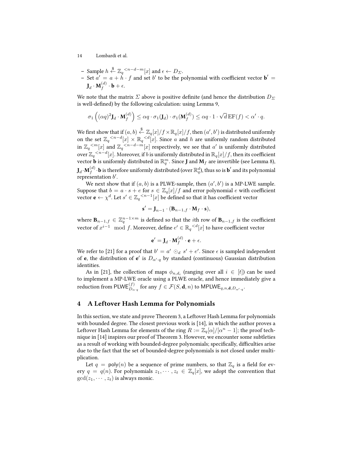- 14 Lombardi et al.
	- Sample  $h \stackrel{\$}{\leftarrow} \mathbb{Z}_q^{ and  $\epsilon \leftarrow D_{\Sigma}$ .$ - Set  $a' = a + b$   $\cdot$  f and set b' to be the polynomial with coefficient vector **b**'  ${\bf J}_d \cdot {\bf M}_f^{(d)}$  $\int_f^{(a)} \cdot \mathbf{b} + \epsilon.$

We note that the matrix  $\Sigma$  above is positive definite (and hence the distribution  $D_{\Sigma}$ is well-defined) by the following calculation: using Lemma 9,

$$
\sigma_1\left((\alpha q)^2\mathbf{J}_d\cdot\mathbf{M}_f^{(d)}\right)\leq \alpha q\cdot \sigma_1(\mathbf{J}_d)\cdot \sigma_1(\mathbf{M}_f^{(d)})\leq \alpha q\cdot 1\cdot \sqrt{d}\,\mathrm{EF}(f)<\alpha'\cdot q.
$$

We first show that if  $(a,b) \stackrel{\$}{\leftarrow} \mathbb{Z}_q[x]/f \times \mathbb{R}_q[x]/f,$  then  $(a',b')$  is distributed uniformly on the set  $\mathbb{Z}_q^{1} \times \mathbb{R}_q^{2}$  or  $\mathbb{Z}_q^{d}[x]$ . Since a and h are uniformly random distributed in  $\mathbb{Z}_q^{\leq m}[x]$  and  $\mathbb{Z}_q^{\leq n-d-m}[x]$  respectively, we see that  $a'$  is uniformly distributed over  $\mathbb{Z}_q^{\textstyle < n-d}[x]$ . Moreover, if  $b$  is uniformly distributed in  $\mathbb{R}_q[x]/f,$  then its coefficient vector  $\mathbf{\dot{b}}$  is uniformly distributed in  $\mathbb{R}^m_q$ . Since **J** and  $\mathbf{M}_f$  are invertible (see Lemma 8),  ${\bf J}_d {\cdot} {\bf M}_f^{(d)}$  $\mathbf{f}_f^{(d)}\cdot\mathbf{b}$  is therefore uniformly distributed (over  $\mathbb{R}_q^d$ ), thus so is  $\mathbf{b}'$  and its polynomial representation  $b'$ .

We next show that if  $(a, b)$  is a PLWE-sample, then  $(a', b')$  is a MP-LWE sample. Suppose that  $b = a \cdot s + e$  for  $s \in \mathbb{Z}_q[x]/f$  and error polynomial e with coefficient vector  $\mathbf{e} \leftarrow \chi^d$ . Let  $s' \in \mathbb{Z}_q^{-(n-1)}[x]$  be defined so that it has coefficient vector

$$
\mathbf{s}' = \mathbf{J}_{n-1} \cdot (\mathbf{B}_{n-1,f} \cdot \mathbf{M}_f \cdot \mathbf{s}),
$$

where  $\mathbf{B}_{n-1,f}\in\mathbb{Z}_q^{n-1\times m}$  is defined so that the *i*th row of  $\mathbf{B}_{n-1,f}$  is the coefficient vector of  $x^{i-1} \mod f$ . Moreover, define  $e' \in \mathbb{R}_q^{\ltimes d}[x]$  to have coefficient vector

$$
\mathbf{e}' = \mathbf{J}_d \cdot \mathbf{M}_f^{(d)} \cdot \mathbf{e} + \epsilon.
$$

We refer to [21] for a proof that  $b'=a'\odot_d s'+e'.$  Since  $\epsilon$  is sampled independent of **e**, the distribution of **e**' is  $D_{\alpha',q}$  by standard (continuous) Gaussian distribution identities.

As in [21], the collection of maps  $\phi_{n,d_i}$  (ranging over all  $i \in [t]$ ) can be used to implement a MP-LWE oracle using a PLWE oracle, and hence immediately give a reduction from  $\mathsf{PLWE}_{D_{\alpha \cdot q}}^{(f)}$  for any  $f \in \mathcal{F}(S, \mathbf{d}, n)$  to  $\mathsf{MPLWE}_{q, n, \mathbf{d}, D_{\alpha' \cdot q}}.$ 

## 4 A Leftover Hash Lemma for Polynomials

In this section, we state and prove Theorem 3, a Leftover Hash Lemma for polynomials with bounded degree. The closest previous work is [14], in which the author proves a Leftover Hash Lemma for elements of the ring  $R := \mathbb{Z}_q[\alpha]/[\alpha^n - 1]$ ; the proof technique in [14] inspires our proof of Theorem 3. However, we encounter some subtleties as a result of working with bounded-degree polynomials; specifically, difficulties arise due to the fact that the set of bounded-degree polynomials is not closed under multiplication.

Let  $q = \text{poly}(n)$  be a sequence of prime numbers, so that  $\mathbb{Z}_q$  is a field for every  $q = q(n)$ . For polynomials  $z_1, \dots, z_t \in \mathbb{Z}_q[x]$ , we adopt the convention that  $gcd(z_1, \dots, z_t)$  is always monic.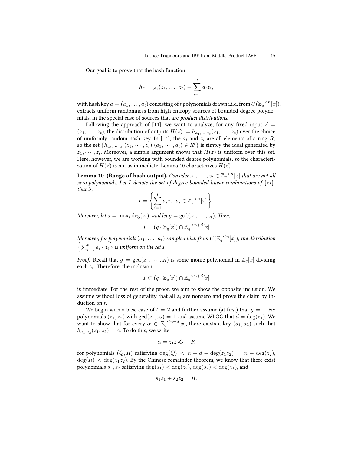Our goal is to prove that the hash function

$$
h_{a_1,...,a_t}(z_1,...,z_t) = \sum_{i=1}^t a_i z_i,
$$

with hash key  $\vec{a} = (a_1, \ldots, a_t)$  consisting of  $t$  polynomials drawn i.i.d. from  $U({\mathbb Z_q}^{< n}[x]),$ extracts uniform randomness from high entropy sources of bounded-degree polynomials, in the special case of sources that are product distributions.

Following the approach of [14], we want to analyze, for any fixed input  $\vec{z}$  =  $(z_1, \ldots, z_t)$ , the distribution of outputs  $H(\vec{z}) := h_{a_1,\ldots,a_t}(z_1,\ldots,z_t)$  over the choice of uniformly random hash key. In [14], the  $a_i$  and  $z_i$  are all elements of a ring R, so the set  $\{h_{a_1,\cdots,a_t}(z_1,\cdots,z_t)|(a_1,\cdots,a_t)\in R^t\}$  is simply the ideal generated by  $z_1, \dots, z_t$ . Moreover, a simple argument shows that  $H(\vec{z})$  is uniform over this set. Here, however, we are working with bounded degree polynomials, so the characterization of  $H(\vec{z})$  is not as immediate. Lemma 10 characterizes  $H(\vec{z})$ .

**Lemma 10 (Range of hash output).** Consider  $z_1, \cdots, z_t \in \mathbb{Z}_q^{\lt \le n}[x]$  that are not all zero polynomials. Let I denote the set of degree-bounded linear combinations of  $\{z_i\}$ , that is,

$$
I = \left\{ \sum_{i=1}^{t} a_i z_i \, | \, a_i \in \mathbb{Z}_q^{\leq n}[x] \right\}.
$$

Moreover, let  $d = \max_i \deg(z_i)$ , and let  $g = \gcd(z_1, \ldots, z_t)$ . Then,

$$
I = (g \cdot \mathbb{Z}_q[x]) \cap \mathbb{Z}_q^{\lt n + d}[x]
$$

Moreover, for polynomials  $(a_1,\ldots,a_t)$  sampled i.i.d. from  $U({\mathbb Z_q}^{< n}[x])$ , the distribution  $\left\{\sum_{i=1}^t a_i \cdot z_i\right\}$  is uniform on the set I.

*Proof.* Recall that  $g = \gcd(z_1, \dots, z_t)$  is some monic polynomial in  $\mathbb{Z}_q[x]$  dividing each  $z_i$ . Therefore, the inclusion

$$
I \subset (g \cdot \mathbb{Z}_q[x]) \cap \mathbb{Z}_q^{\lt n+d}[x]
$$

is immediate. For the rest of the proof, we aim to show the opposite inclusion. We assume without loss of generality that all  $z<sub>i</sub>$  are nonzero and prove the claim by induction on t.

We begin with a base case of  $t = 2$  and further assume (at first) that  $q = 1$ . Fix polynomials  $(z_1, z_2)$  with  $gcd(z_1, z_2) = 1$ , and assume WLOG that  $d = deg(z_1)$ . We want to show that for every  $\alpha \in \mathbb{Z}_q^{n+d}[x]$ , there exists a key  $(a_1, a_2)$  such that  $h_{a_1,a_2}(z_1,z_2)=\alpha.$  To do this, we write

$$
\alpha = z_1 z_2 Q + R
$$

for polynomials  $(Q, R)$  satisfying  $deg(Q) < n + d - deg(z_1z_2) = n - deg(z_2)$ ,  $deg(R) < deg(z_1z_2)$ . By the Chinese remainder theorem, we know that there exist polynomials  $s_1, s_2$  satisfying  $\deg(s_1) < \deg(z_2)$ ,  $\deg(s_2) < \deg(z_1)$ , and

$$
s_1z_1 + s_2z_2 = R.
$$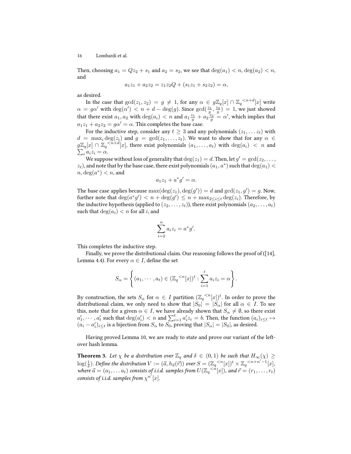Then, choosing  $a_1 = Qz_2 + s_1$  and  $a_2 = s_2$ , we see that  $\deg(a_1) < n$ ,  $\deg(a_2) < n$ , and

$$
a_1z_1 + a_2z_2 = z_1z_2Q + (s_1z_1 + s_2z_2) = \alpha,
$$

as desired.

In the case that  $\gcd(z_1,z_2)\ =\ g\ \neq\ 1,$  for any  $\alpha\ \in\ g\mathbb{Z}_q[x]\cap\mathbb{Z}_q^{ write$  $\alpha = g\alpha'$  with  $\deg(\alpha') < n + d - \deg(g)$ . Since  $\gcd(\frac{z_1}{g}, \frac{z_2}{g}) = 1$ , we just showed that there exist  $a_1, a_2$  with  $\deg(a_i) < n$  and  $a_1 \frac{z_1}{g} + a_2 \frac{z_2}{g} = \alpha'$ , which implies that  $a_1z_1 + a_2z_2 = g\alpha' = \alpha$ . This completes the base case.

For the inductive step, consider any  $t \geq 3$  and any polynomials  $(z_1, \ldots z_t)$  with  $d = \max_i \deg(z_i)$  and  $g = \gcd(z_1, \ldots, z_t)$ . We want to show that for any  $\alpha \in$  $g\mathbb{Z}_q[x]\cap\mathbb{Z}_q^{ there exist polynomials  $(a_1,\ldots,a_t)$  with  $\deg(a_i)~<~n$  and$  $\sum_i a_i z_i = \alpha.$ 

We suppose without loss of generality that  $\deg(z_1) = d$ . Then, let  $g' = \gcd(z_2, \ldots, z_n)$  $(z_t)$ , and note that by the base case, there exist polynomials  $(a_1, a^*)$  such that  $\deg(a_1)$   $<$  $n, \deg(a^*) < n$ , and

$$
a_1z_1 + a^*g' = \alpha.
$$

The base case applies because  $\max(\deg(z_1), \deg(g')) = d$  and  $\gcd(z_1, g') = g$ . Now, further note that  $\deg(a^*g') < n + \deg(g') \leq n + \max_{2 \leq i \leq t} \deg(z_i)$ . Therefore, by the inductive hypothesis (applied to  $(z_2, \ldots, z_t)$ ), there exist polynomials  $(a_2, \ldots, a_t)$ such that  $deg(a_i) < n$  for all i, and

$$
\sum_{i=2}^{n} a_i z_i = a^* g'.
$$

This completes the inductive step.

Finally, we prove the distributional claim. Our reasoning follows the proof of ([14], Lemma 4.4). For every  $\alpha \in I$ , define the set

$$
S_{\alpha} = \left\{ (a_1, \cdots, a_t) \in (\mathbb{Z}_q^{\leq n}[x])^t : \sum_{i=1}^t a_i z_i = \alpha \right\}.
$$

By construction, the sets  $S_\alpha$  for  $\alpha \in I$  partition  $(\mathbb{Z}_q^{\lt n}[x])^t.$  In order to prove the distributional claim, we only need to show that  $|S_0| = |S_\alpha|$  for all  $\alpha \in I$ . To see this, note that for a given  $\alpha \in I$ , we have already shown that  $S_{\alpha} \neq \emptyset$ , so there exist  $a'_1, \cdots, a'_t$  such that  $\deg(a'_i) < n$  and  $\sum_{i=1}^t a'_i z_i = b$ . Then, the function  $(a_i)_{i \le t} \mapsto$  $(a_i-a'_i)_{i\leq t}$  is a bijection from  $S_{\alpha}$  to  $S_0,$  proving that  $|S_{\alpha}|=|S_0|,$  as desired.

Having proved Lemma 10, we are ready to state and prove our variant of the leftover hash lemma.

**Theorem 3.** Let  $\chi$  be a distribution over  $\mathbb{Z}_q$  and  $\delta \in (0,1)$  be such that  $H_{\infty}(\chi) \geq$  $\log(\frac{1}{\delta})$ . Define the distribution  $V:=(\vec{a},h_{\vec{a}}(\vec{r}))$  over  $S=(\mathbb{Z}_q^{\leq n}[x])^t\times \mathbb{Z}_q^{\leq n+n'-1}[x],$ where  $\vec{a} = (a_1, \ldots a_t)$  consists of i.i.d. samples from  $U(\mathbb{Z}_q^{\lt}[x])$ , and  $\vec{r} = (r_1, \ldots, r_t)$ consists of i.i.d. samples from  $\chi^{n'}[x]$ .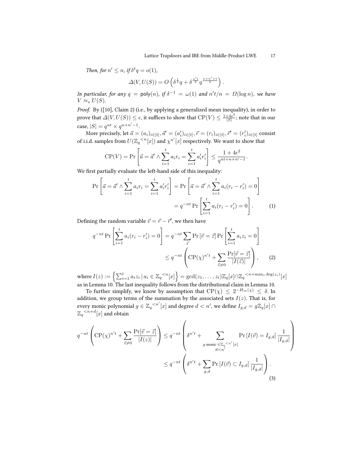Then, for  $n' \leq n$ , if  $\delta^t q = o(1)$ ,

$$
\Delta(V, U(S)) = O\left(\delta^{\frac{t}{2}}q + \delta^{\frac{n't}{2}}q^{\frac{n+n'+1}{2}}\right).
$$

In particular, for any  $q = \text{poly}(n)$ , if  $\delta^{-1} = \omega(1)$  and  $n't/n = \Omega(\log n)$ , we have  $V \approx_s U(S)$ .

Proof. By ([10], Claim 2) (i.e., by applying a generalized mean inequality), in order to prove that  $\Delta(V, U(S)) \leq \epsilon$ , it suffices to show that  $\text{CP}(V) \leq \frac{1+4\epsilon^2}{|S|}$  $\frac{+4\epsilon^2}{|S|}$ ; note that in our case,  $|S| = q^{nt} \times q^{n+n'-1}$ .

More precisely, let  $\vec{a} = (a_i)_{i \in [t]}, \vec{a}' = (a'_i)_{i \in [t]}, \vec{r} = (r_i)_{i \in [t]}, \vec{r}' = (r'_i)_{i \in [t]}$  consist of i.i.d. samples from  $U(\mathbb{Z}_q^{\ltq n}[x])$  and  $\chi^{n'}[x]$  respectively. We want to show that

$$
CP(V) = \Pr\left[\vec{a} = \vec{a}' \land \sum_{i=1}^{t} a_i r_i = \sum_{i=1}^{t} a'_i r'_i\right] \le \frac{1 + 4\epsilon^2}{q^{nt + n + n' - 1}}.
$$

We first partially evaluate the left-hand side of this inequality:

$$
\Pr\left[\vec{a} = \vec{a}' \land \sum_{i=1}^{t} a_i r_i = \sum_{i=1}^{t} a'_i r'_i\right] = \Pr\left[\vec{a} = \vec{a}' \land \sum_{i=1}^{t} a_i (r_i - r'_i) = 0\right]
$$

$$
= q^{-nt} \Pr\left[\sum_{i=1}^{t} a_i (r_i - r'_i) = 0\right].
$$
 (1)

Defining the random variable  $\vec{v} = \vec{r} - \vec{r}'$ , we then have

$$
q^{-nt} \Pr\left[\sum_{i=1}^{t} a_i (r_i - r'_i) = 0\right] = q^{-nt} \sum_{\vec{z}} \Pr\left[\vec{v} = \vec{z}\right] \Pr\left[\sum_{i=1}^{t} a_i z_i = 0\right]
$$

$$
\leq q^{-nt} \left(\text{CP}(\chi)^{n't} + \sum_{\vec{z}\neq 0} \frac{\Pr[\vec{v} = \vec{z}]}{|I(\vec{z})|}\right), \tag{2}
$$

where  $I(z):=\left\{\sum_{i=1}^t a_iz_i\,|\,a_i\in {\mathbb Z_q}^{$ as in Lemma 10. The last inequality follows from the distributional claim in Lemma 10.

To further simplify, we know by assumption that  $\text{CP}(\chi) \ \leq \ 2^{-H_\infty(\chi)} \ \leq \ \delta.$  In addition, we group terms of the summation by the associated sets  $I(z)$ . That is, for every monic polynomial  $g\in{\mathbb Z}_q^{\, and degree  $d < n'$ , we define  $I_{g,d}=g{\mathbb Z}_q[x]\cap$$  $\mathbb{Z}_q^{\textstyle < n+d}[x]$  and obtain

$$
q^{-nt} \left( \mathbf{CP}(\chi)^{n't} + \sum_{\vec{z} \neq 0} \frac{\Pr[\vec{v} = \vec{z}]}{|I(z)|} \right) \leq q^{-nt} \left( \delta^{n't} + \sum_{g \text{ monic } \in \mathbb{Z}_q \leq n' \atop d < n'} \Pr[I(\vec{v}) = I_{g,d}] \frac{1}{|I_{g,d}|} \right)
$$

$$
\leq q^{-nt} \left( \delta^{n't} + \sum_{g,d} \Pr[I(\vec{v}) \subset I_{g,d}] \frac{1}{|I_{g,d}|} \right).
$$
\n(3)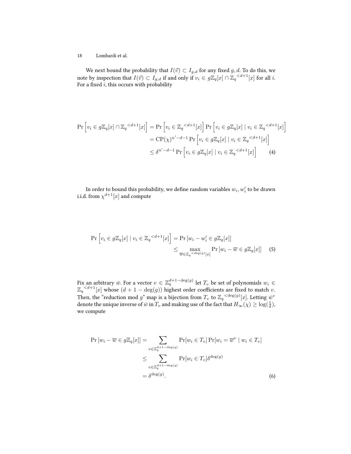We next bound the probability that  $I(\vec{v}) \subset I_{g,d}$  for any fixed  $g,d.$  To do this, we note by inspection that  $I(\vec{v})\subset I_{g,d}$  if and only if  $v_i\in g\mathbb{Z}_q[x]\cap \mathbb{Z}_q^{ for all  $i.$$ For a fixed  $i$ , this occurs with probability

$$
\Pr\left[v_i \in g\mathbb{Z}_q[x] \cap \mathbb{Z}_q^{\n
$$
= \Pr(\chi)^{n'-d-1} \Pr\left[v_i \in g\mathbb{Z}_q[x] \mid v_i \in \mathbb{Z}_q^{\n
$$
\leq \delta^{n'-d-1} \Pr\left[v_i \in g\mathbb{Z}_q[x] \mid v_i \in \mathbb{Z}_q^{\n(4)
$$
$$
$$

In order to bound this probability, we define random variables  $w_i, w'_i$  to be drawn i.i.d. from  $\chi^{d+1}[x]$  and compute

$$
\Pr\left[v_i \in g\mathbb{Z}_q[x] \mid v_i \in \mathbb{Z}_q^{
$$

Fix an arbitrary  $\bar w.$  For a vector  $v\in\mathbb{Z}_q^{d+1-\deg(g)}$  let  $T_v$  be set of polynomials  $w_i\in$  $\mathbb{Z}_q^{< d+1}[x]$  whose  $(d+1-\deg(g))$  highest order coefficients are fixed to match v. Then, the "reduction mod  $g$ " map is a bijection from  $T_v$  to  $\mathbb{Z}_q^{<\deg(g)}[x]$ . Letting  $\bar{w}^v$ denote the unique inverse of  $\bar w$  in  $T_v$  and making use of the fact that  $H_\infty(\chi)\geq \log(\frac{1}{\delta}),$ we compute

$$
\Pr\left[w_i - \overline{w} \in g\mathbb{Z}_q[x]\right] = \sum_{v \in \mathbb{Z}_q^{d+1-\deg(g)}} \Pr[w_i \in T_v] \Pr[w_i = \overline{w}^v \mid w_i \in T_v]
$$

$$
\leq \sum_{v \in \mathbb{Z}_q^{d+1-\deg(g)}} \Pr[w_i \in T_v] \delta^{\deg(g)}
$$

$$
= \delta^{\deg(g)}.
$$
(6)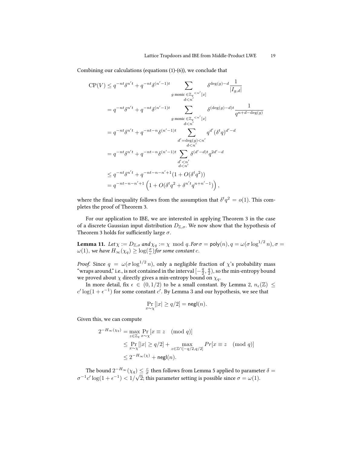Combining our calculations (equations (1)-(6)), we conclude that

$$
CP(V) \leq q^{-nt} \delta^{n't} + q^{-nt} \delta^{(n'-1)t} \sum_{\substack{d < n' \\ d < n' \\ d < n'}} \delta^{\deg(g)-d} \frac{1}{|I_{g,d}|}
$$
\n
$$
= q^{-nt} \delta^{n't} + q^{-nt} \delta^{(n'-1)t} \sum_{\substack{d < n' \\ d < n' \\ d < n'}} \delta^{(\deg(g)-d)t} \frac{1}{q^{n+d-\deg(g)}}
$$
\n
$$
= q^{-nt} \delta^{n't} + q^{-nt-n} \delta^{(n'-1)t} \sum_{\substack{d' = \deg(g) < n' \\ d < n' \\ d < n'}} q^{d'} (\delta^t q)^{d'-d}
$$
\n
$$
= q^{-nt} \delta^{n't} + q^{-nt-n} \delta^{(n'-1)t} \sum_{\substack{d' < n' \\ d < n' \\ d < n'}} \delta^{(d'-d)t} q^{2d'-d}
$$
\n
$$
\leq q^{-nt} \delta^{n't} + q^{-nt-n-n'+1} \left(1 + O(\delta^t q^2)\right)
$$
\n
$$
= q^{-nt-n-n'+1} \left(1 + O(\delta^t q^2 + \delta^{n't} q^{n+n'-1})\right),
$$

where the final inequality follows from the assumption that  $\delta^t q^2 = o(1)$ . This completes the proof of Theorem 3.

For our application to IBE, we are interested in applying Theorem 3 in the case of a discrete Gaussian input distribution  $D_{\mathbb{Z},\sigma}$ . We now show that the hypothesis of Theorem 3 holds for sufficiently large  $\sigma$ .

**Lemma 11.** Let  $\chi := D_{\mathbb{Z}, \sigma}$  and  $\chi_q := \chi \mod q$ . For  $\sigma = \text{poly}(n)$ ,  $q = \omega(\sigma \log^{1/2} n)$ ,  $\sigma =$  $\omega(1)$ , we have  $H_{\infty}(\chi_q)\geq \log(\frac{\sigma}{c})$  for some constant  $c$ .

*Proof.* Since  $q = \omega(\sigma \log^{1/2} n)$ , only a negligible fraction of  $\chi$ 's probability mass "wraps around," i.e., is not contained in the interval  $[-\frac{q}{2},\frac{q}{2}),$  so the min-entropy bound we proved about  $\chi$  directly gives a min-entropy bound on  $\chi_q$ .

In more detail, fix  $\epsilon \in (0, 1/2)$  to be a small constant. By Lemma 2,  $n_{\epsilon}(\mathbb{Z}) \leq$  $c' \log(1 + \epsilon^{-1})$  for some constant  $c'$ . By Lemma 3 and our hypothesis, we see that

$$
\Pr_{x \sim \chi}[|x| \ge q/2] = \mathsf{negl}(n).
$$

Given this, we can compute

$$
2^{-H_{\infty}(\chi_q)} = \max_{z \in \mathbb{Z}_q} \Pr_x[x \equiv z \pmod{q}]
$$
  
\n
$$
\leq \Pr_{x \sim \chi} [|x| \geq q/2] + \max_{z \in \mathbb{Z} \cap [-q/2, q/2]} Pr[x \equiv z \pmod{q}]
$$
  
\n
$$
\leq 2^{-H_{\infty}(\chi)} + \operatorname{negl}(n).
$$

The bound  $2^{-H_\infty}(\chi_q)\leq \frac{c}{\sigma}$  then follows from Lemma 5 applied to parameter  $\delta=$  $\sigma^{-1}c' \log(1+\epsilon^{-1}) < 1/$  $^{\prime}$  ; 2; this parameter setting is possible since  $\sigma = \omega(1)$ .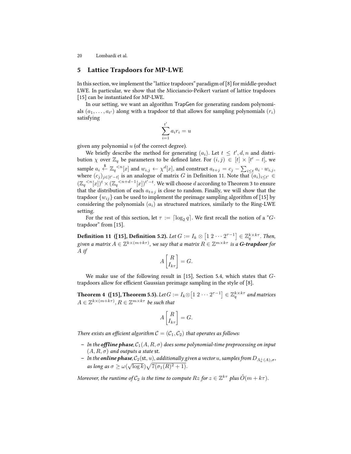## 5 Lattice Trapdoors for MP-LWE

In this section, we implement the "lattice trapdoors" paradigm of [8] for middle-product LWE. In particular, we show that the Micciancio-Peikert variant of lattice trapdoors [15] can be instantiated for MP-LWE.

In our setting, we want an algorithm TrapGen for generating random polynomials  $(a_1, \ldots, a_{t'})$  along with a trapdoor td that allows for sampling polynomials  $(r_i)$ satisfying

$$
\sum_{i=1}^{t'} a_i r_i = u
$$

given any polynomial  $u$  (of the correct degree).

We briefly describe the method for generating  $(a_i)$ . Let  $t \leq t', d, n$  and distribution  $\chi$  over  $\mathbb{Z}_q$  be parameters to be defined later. For  $(i, j) \in [t] \times [t' - t]$ , we sample  $a_i \stackrel{\$}{\leftarrow} \mathbb{Z}_q^{< n}[x]$  and  $w_{i,j} \leftarrow \chi^d[x]$ , and construct  $a_{t+j} = c_j - \sum_{i \leq t} a_i \cdot w_{i,j}$ , where  $(c_j)_{j \in [t'-t]}$  is an analogue of matrix  $G$  in Definition 11. Note that  $(a_i)_{i \le t'} \in$  $(\mathbb{Z}_q^{\lt n}[x])^t\times (\mathbb{Z}_q^{\lt n+d-1}[x])^{t'-t}.$  We will choose  $d$  according to Theorem 3 to ensure that the distribution of each  $a_{t+j}$  is close to random. Finally, we will show that the trapdoor  $\{w_{ij}\}\$ can be used to implement the preimage sampling algorithm of [15] by considering the polynomials  $(a_i)$  as structured matrices, similarly to the Ring-LWE setting.

For the rest of this section, let  $\tau := \lceil \log_2 q \rceil.$  We first recall the notion of a " $G$ trapdoor" from [15].

**Definition 11 ([15], Definition 5.2).** Let  $G:=I_k\otimes \left[1\ 2\ \cdots\ 2^{\tau-1}\right]\in\mathbb{Z}_q^{k\times k\tau}$  . Then, given a matrix  $A\in\mathbb{Z}^{k\times(m+k\tau)},$  we say that a matrix  $R\in\mathbb{Z}^{m\times k\tau}$  is a **G-trapdoor** for A if

$$
A\begin{bmatrix} R \\ I_{k\tau} \end{bmatrix} = G.
$$

We make use of the following result in [15], Section 5.4, which states that Gtrapdoors allow for efficient Gaussian preimage sampling in the style of [8].

**Theorem 4** ([15], Theorem 5.5). Let  $G := I_k \otimes \left[1 \ 2 \ \cdots \ 2^{\tau-1} \right] \in \mathbb{Z}_q^{k \times k \tau}$  and matrices  $A \in \mathbb{Z}^{k \times (m+k\tau)}, R \in \mathbb{Z}^{m \times k\tau}$  be such that

$$
A\begin{bmatrix} R \\ I_{k\tau} \end{bmatrix} = G.
$$

There exists an efficient algorithm  $C = (C_1, C_2)$  that operates as follows:

- In the offline phase,  $C_1(A, R, \sigma)$  does some polynomial-time preprocessing on input  $(A, R, \sigma)$  and outputs a state st.
- In the **online phase**,  $C_2(\text{st}, u)$ , additionally given a vector u, samples from  $D_{A_u^{\perp}(A), \sigma}$ , as long as  $\sigma \ge \omega(\sqrt{\log k}) \sqrt{7(\sigma_1(R)^2+1)}$ .

Moreover, the runtime of  $\mathcal{C}_2$  is the time to compute  $Rz$  for  $z\in\mathbb{Z}^{k\tau}$  plus  $\tilde{O}(m+k\tau).$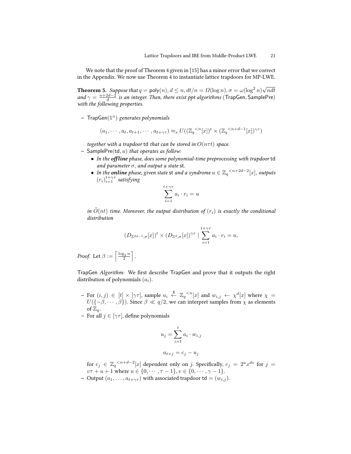We note that the proof of Theorem 4 given in [15] has a minor error that we correct in the Appendix. We now use Theorem 4 to instantiate lattice trapdoors for MP-LWE.

**Theorem 5.** Suppose that  $q = \text{poly}(n), d \leq n, dt/n = \Omega(\log n), \sigma = \omega(\log^2 n)$ √ ndt and  $\gamma = \frac{n+2d-2}{d}$  is an integer. Then, there exist ppt algorithms (TrapGen, SamplePre) with the following properties.

– TrapGen $(1^n)$  generates polynomials

$$
(a_1, \cdots, a_t, a_{t+1}, \cdots, a_{t+\gamma\tau}) \approx_s U((\mathbb{Z}_q^{\leq n}[x])^t \times (\mathbb{Z}_q^{\leq n+d-1}[x])^{\gamma\tau})
$$

together with a trapdoor td that can be stored in  $O(n\tau t)$  space. - SamplePre(td,  $u$ ) that operates as follow:

- In the offline phase, does some polynomial-time preprocessing with trapdoor td and parameter  $\sigma$ , and output a state st.
- $\bullet~$  In the **online** phase, given state  $\mathsf{st}$  and a syndrome  $u \in \mathbb{Z}_q^{< n+2d-2}[x],$  outputs  $(r_i)_{i=1}^{t+\gamma\tau}$  satisfying

$$
\sum_{i=1}^{t+\gamma\tau} a_i \cdot r_i = u
$$

in  $\tilde{O}(nt)$  time. Moreover, the output distribution of  $(r_i)$  is exactly the conditional distribution

$$
(D_{\mathbb{Z}^{2d-1},\sigma}[x])^t \times (D_{\mathbb{Z}^d,\sigma}[x])^{\gamma \tau} \mid \sum_{i=1}^{t+\gamma \tau} a_i \cdot r_i = u,
$$

*Proof.* Let  $\beta := \left\lceil \frac{\log_2 n}{2} \right\rceil$ .

TrapGen Algorithm: We first describe TrapGen and prove that it outputs the right distribution of polynomials  $(a_i)$ .

- $-$  For  $(i, j) \in [t] \times [\gamma \tau]$ , sample  $a_i \stackrel{\$}{\leftarrow} \mathbb{Z}_q^{ and  $w_{i,j} \leftarrow \chi^d[x]$  where  $\chi =$$  $U(\{-\beta,\cdots,\beta\}).$  Since  $\beta\ll q/2,$  we can interpret samples from  $\chi$  as elements of  $\mathbb{Z}_q$ .
- For all  $j \in [\gamma \tau]$ , define polynomials

$$
u_j = \sum_{i=1}^t a_i \cdot w_{i,j}
$$

$$
a_{t+j} = c_j - u_j
$$

for  $c_j \in \mathbb{Z}_q^{ dependent only on  $j$ . Specifically,  $c_j = 2^u x^{dv}$  for  $j = 1$$  $v\tau + u + 1$  where  $u \in \{0, \dots, \tau - 1\}, v \in \{0, \dots, \gamma - 1\}.$ 

– Output  $(a_1, \ldots, a_{t+\gamma\tau})$  with associated trapdoor td =  $(w_{i,j})$ .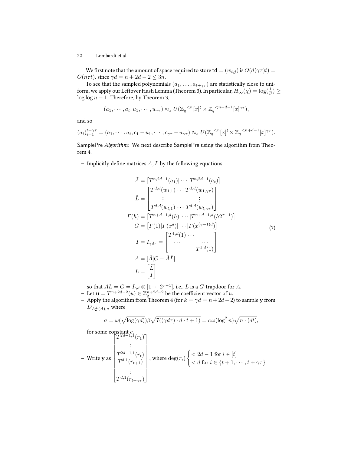We first note that the amount of space required to store td =  $(w_{i,j})$  is  $O(d(\gamma \tau)t)$  =  $O(n\tau t)$ , since  $\gamma d = n + 2d - 2 \leq 3n$ .

To see that the sampled polynomials  $(a_1, \ldots, a_{t+\gamma\tau})$  are statistically close to uniform, we apply our Leftover Hash Lemma (Theorem 3). In particular,  $H_{\infty}(\chi)=\log(\frac{1}{\beta})\geq 1$  $\log \log n - 1$ . Therefore, by Theorem 3,

$$
(a_1, \cdots, a_t, u_1, \cdots, u_{\gamma \tau}) \approx_s U(\mathbb{Z}_q^{\leq n}[x]^t \times \mathbb{Z}_q^{\leq n+d-1}[x]^{\gamma \tau}),
$$

and so

$$
(a_i)_{i=1}^{t+\gamma\tau} = (a_1, \cdots, a_t, c_1 - u_1, \cdots, c_{\gamma\tau} - u_{\gamma\tau}) \approx_s U(\mathbb{Z}_q^{
$$

SamplePre Algorithm: We next describe SamplePre using the algorithm from Theorem 4.

– Implicitly define matrices  $A, L$  by the following equations.

$$
\tilde{A} = \begin{bmatrix} T^{n,2d-1}(a_1) | \cdots | T^{n,2d-1}(a_t) \end{bmatrix}
$$
\n
$$
\tilde{L} = \begin{bmatrix} T^{d,d}(w_{1,1}) & \cdots & T^{d,d}(w_{1,\gamma\tau}) \\ \vdots & \vdots & \vdots \\ T^{d,d}(w_{t,1}) & \cdots & T^{d,d}(w_{t,\gamma\tau}) \end{bmatrix}
$$
\n
$$
\Gamma(h) = \begin{bmatrix} T^{n+d-1,d}(h) | \cdots | T^{n+d-1,d}(h) 2^{\tau-1} \end{bmatrix}
$$
\n
$$
G = \begin{bmatrix} \Gamma(1) | T(x^d) | \cdots | \Gamma(x^{(\gamma-1)d}) \end{bmatrix}
$$
\n
$$
I = I_{\gamma d\tau} = \begin{bmatrix} T^{1,d}(1) & \cdots & \cdots & \cdots \\ \cdots & \cdots & \cdots & \cdots \\ \vdots & \vdots & \ddots & \vdots \\ \vdots & \vdots & \ddots & \vdots \\ \vdots & \vdots & \ddots & \vdots \\ \vdots & \vdots & \ddots & \vdots \\ \vdots & \vdots & \ddots & \vdots \\ \vdots & \vdots & \ddots & \vdots \\ \vdots & \vdots & \ddots & \vdots \\ \vdots & \vdots & \ddots & \vdots \\ \vdots & \vdots & \ddots & \vdots \\ \vdots & \vdots & \ddots & \vdots \\ \vdots & \vdots & \ddots & \vdots \\ \vdots & \vdots & \ddots & \vdots \\ \vdots & \vdots & \ddots & \vdots \\ \vdots & \vdots & \ddots & \vdots \\ \vdots & \vdots & \ddots & \vdots \\ \vdots & \vdots & \ddots & \vdots \\ \vdots & \vdots & \ddots & \vdots \\ \vdots & \vdots & \ddots & \vdots \\ \vdots & \vdots & \ddots & \vdots \\ \vdots & \vdots & \ddots & \vdots \\ \vdots & \vdots & \ddots & \vdots \\ \vdots & \vdots & \ddots & \vdots \\ \vdots & \vdots & \ddots & \vdots \\ \vdots & \vdots & \ddots & \vdots \\ \vdots & \vdots & \vdots & \vdots \\ \vdots & \vdots & \vdots & \vdots \\ \vdots & \vdots & \vdots & \vdots \\ \vdots & \vdots & \vdots &
$$

so that  $AL = G = I_{\gamma d} \otimes [1 \cdots 2^{\tau-1}],$  i.e.,  $L$  is a  $G$ -trapdoor for  $A$ . − Let  $\mathbf{u} = T^{n+2d-2}(u) \in \mathbb{Z}_q^{n+2d-2}$  be the coefficient vector of  $u$ .

– Apply the algorithm from Theorem 4 (for  $k = \gamma d = n + 2d - 2$ ) to sample **y** from  $D_{A_{\mathbf{u}}^{\perp}(A),\sigma}$  where

$$
\sigma = \omega(\sqrt{\log(\gamma d)}) \beta \sqrt{7((\gamma d \tau) \cdot d \cdot t + 1)} = c \omega(\log^2 n) \sqrt{n \cdot (dt)},
$$

for some constant c.  $\lceil T^{2d-1,1}(r_1) \rceil$ 

- Write y as 
$$
\begin{bmatrix} 1 & (1) \\ \vdots \\ T^{2d-1,1}(r_t) \\ \vdots \\ T^{d,1}(r_{t+\gamma}) \end{bmatrix}
$$
, where  $\deg(r_i) \begin{cases} < 2d-1 \text{ for } i \in [t] \\ < d \text{ for } i \in \{t+1, \dots, t+\gamma\tau\} \end{cases}$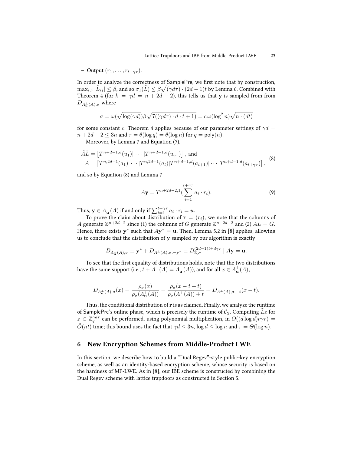– Output  $(r_1, \ldots, r_{t+\gamma\tau}).$ 

In order to analyze the correctness of SamplePre, we first note that by construction,  $\max_{i,j}|\tilde{L}_{ij}|\leq \beta,$  and so  $\sigma_1(\tilde{L})\leq \beta\sqrt{(\gamma d\tau)\cdot(2d-1)t}$  by Lemma 6. Combined with Theorem 4 (for  $k = \gamma d = n + 2d - 2$ ), this tells us that y is sampled from from  $D_{A_{\mathbf{u}}^{\perp}(A),\sigma}$  where

$$
\sigma = \omega(\sqrt{\log(\gamma d)}) \beta \sqrt{7((\gamma d \tau) \cdot d \cdot t + 1)} = c \omega(\log^2 n) \sqrt{n \cdot (dt)}
$$

for some constant c. Theorem 4 applies because of our parameter settings of  $\gamma d =$  $n + 2d - 2 \le 3n$  and  $\tau = \theta(\log q) = \theta(\log n)$  for  $q = \text{poly}(n)$ .

Moreover, by Lemma 7 and Equation (7),

$$
\tilde{A}\tilde{L} = \left[T^{n+d-1,d}(u_1)| \cdots | T^{n+d-1,d}(u_{\gamma\tau})\right], \text{ and}
$$
\n
$$
A = \left[T^{n,2d-1}(a_1)| \cdots | T^{n,2d-1}(a_t)| T^{n+d-1,d}(a_{t+1})| \cdots | T^{n+d-1,d}(a_{t+\gamma\tau})\right],
$$
\n(8)

and so by Equation (8) and Lemma 7

$$
A\mathbf{y} = T^{n+2d-2,1} \left( \sum_{i=1}^{t+\gamma\tau} a_i \cdot r_i \right).
$$
 (9)

Thus,  $\mathbf{y} \in \Lambda_{\mathbf{u}}^{\perp}(A)$  if and only if  $\sum_{i=1}^{t+\gamma\tau} a_i \cdot r_i = u$ .

To prove the claim about distribution of  $\mathbf{r} = (r_i)$ , we note that the columns of A generate  $\mathbb{Z}^{n+2d-2}$  since (1) the columns of G generate  $\mathbb{Z}^{n+2d-2}$  and (2)  $AL = G$ . Hence, there exists  $y^*$  such that  $Ay^* = u$ . Then, Lemma 5.2 in [8] applies, allowing us to conclude that the distribution of y sampled by our algorithm is exactly

$$
D_{\Lambda_{\mathbf{u}}^{\perp}(A),\sigma} \equiv \mathbf{y}^* + D_{\Lambda^{\perp}(A),\sigma,-\mathbf{y}^*} \equiv D_{\mathbb{Z},\sigma}^{(2d-1)t+d\gamma\tau} \mid A\mathbf{y} = \mathbf{u}.
$$

To see that the first equality of distributions holds, note that the two distributions have the same support (i.e.,  $t + A^{\perp}(A) = A^{\perp}_{\mathbf{u}}(A)$ ), and for all  $x \in A^{\perp}_{\mathbf{u}}(A)$ ,

$$
D_{\Lambda_{\mathbf{u}}^{\perp}(A),\sigma}(x)=\frac{\rho_{\sigma}(x)}{\rho_{\sigma}(A_{\mathbf{u}}^{\perp}(A))}=\frac{\rho_{\sigma}(x-t+t)}{\rho_{\sigma}(A^{\perp}(A))+t}=D_{\Lambda^{\perp}(A),\sigma,-t}(x-t).
$$

Thus, the conditional distribution of r is as claimed. Finally, we analyze the runtime of SamplePre's online phase, which is precisely the runtime of  $C_2$ . Computing  $\tilde{L}z$  for  $z \in \mathbb{Z}_q^{\gamma d\tau}$  can be performed, using polynomial multiplication, in  $O((d \log d)t\gamma \tau) =$  $\tilde{O}(nt)$  time; this bound uses the fact that  $\gamma d \leq 3n$ ,  $\log d \leq \log n$  and  $\tau = \Theta(\log n)$ .

## 6 New Encryption Schemes from Middle-Product LWE

In this section, we describe how to build a "Dual Regev"-style public-key encryption scheme, as well as an identity-based encryption scheme, whose security is based on the hardness of MP-LWE. As in [8], our IBE scheme is constructed by combining the Dual Regev scheme with lattice trapdoors as constructed in Section 5.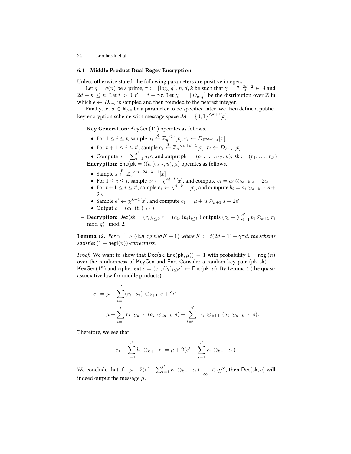#### 6.1 Middle Product Dual Regev Encryption

Unless otherwise stated, the following parameters are positive integers.

Let  $q = q(n)$  be a prime,  $\tau := \lceil \log_2 q \rceil, n, d, k$  be such that  $\gamma = \frac{n + 2d - 2}{d} \in \mathbb{N}$  and  $2d + k \leq n$ . Let  $t > 0, t' = t + \gamma\tau$ . Let  $\chi := \lfloor D_{\alpha \cdot q} \rfloor$  be the distribution over Z in which  $\epsilon \leftarrow D_{\alpha \cdot q}$  is sampled and then rounded to the nearest integer.

Finally, let  $\sigma \in \mathbb{R}_{>0}$  be a parameter to be specified later. We then define a publickey encryption scheme with message space  $\mathcal{M}=\left\{ 0,1\right\} ^{$ 

- Key Generation:  $KeyGen(1^n)$  operates as follows.
	- For  $1 \leq i \leq t$ , sample  $a_i \stackrel{\$}{\leftarrow} \mathbb{Z}_q^{\lt n}[x]$ ,  $r_i \leftarrow D_{\mathbb{Z}^{2d-1}, \sigma}[x]$ ;
	- For  $t + 1 \leq i \leq t'$ , sample  $a_i \stackrel{\$}{\leftarrow} \mathbb{Z}_q^{< n + d 1}[x]$ ,  $r_i \leftarrow D_{\mathbb{Z}^d, \sigma}[x]$ .
	- $\bullet \ \text{ Compute } u = \sum_{i=1}^{t'} a_i r_i \text{ and output pk} := (a_1, \ldots, a_{t'}, u); \text{ sk} := (r_1, \ldots, r_{t'})$
- **Encryption:**  $Enc(\mathsf{pk} = ((a_i)_{i \leq t'}, u), \mu)$  operates as follows.
	- Sample  $s \stackrel{\$}{\leftarrow} \mathbb{Z}_q^{$
	- For  $1 \leq i \leq t$ , sample  $e_i \leftarrow \chi^{2d+k}[x]$ , and compute  $b_i = a_i \odot_{2d+k} s + 2e_i$
	- For  $t+1\leq i\leq t'$ , sample  $e_i\leftarrow \chi^{d+k+1}[x]$ , and compute  $b_i=a_i\odot_{d+k+1}s+1$  $2e_i$
	- Sample  $e' \leftarrow \chi^{k+1}[x]$ , and compute  $c_1 = \mu + u \odot_{k+1} s + 2e'$
	- Output  $c = (c_1, (b_i)_{i \le t'})$ .
- Decryption: Dec(sk =  $(r_i)_{i \le t}, c = (c_1, (b_i)_{i \le t'})$  outputs  $(c_1 \sum_{i=1}^{t'} b_i \odot_{k+1} r_i$  $mod\ q$  mod 2.

**Lemma 12.** For  $\alpha^{-1} > (4\omega(\log n)\sigma K + 1)$  where  $K := t(2d - 1) + \gamma \tau d$ , the scheme satisfies  $(1 - \text{negl}(n))$ -correctness.

*Proof.* We want to show that Dec(sk,  $Enc(pk, \mu)$ ) = 1 with probability 1 – negl(n) over the randomness of KeyGen and Enc. Consider a random key pair (pk, sk)  $\leftarrow$ KeyGen(1<sup>n</sup>) and ciphertext  $c = (c_1, (b_i)_{i \le t'}) \leftarrow \mathsf{Enc}(\mathsf{pk}, \mu)$ . By Lemma 1 (the quasiassociative law for middle products),

$$
c_1 = \mu + \sum_{i=1}^{t'} (r_i \cdot a_i) \odot_{k+1} s + 2e'
$$
  
=  $\mu + \sum_{i=1}^{t} r_i \odot_{k+1} (a_i \odot_{2d+k} s) + \sum_{i=t+1}^{t'} r_i \odot_{k+1} (a_i \odot_{d+k+1} s).$ 

Therefore, we see that

$$
c_1 - \sum_{i=1}^{t'} b_i \odot_{k+1} r_i = \mu + 2(e' - \sum_{i=1}^{t'} r_i \odot_{k+1} e_i).
$$

We conclude that if  $\vert$  $\left|\mu+2(e'-\sum_{i=1}^{t'} r_i \odot_{k+1} e_i)\right|$  $\Big|_{\infty}$  < q/2, then Dec(sk, c) will indeed output the message  $\mu$ .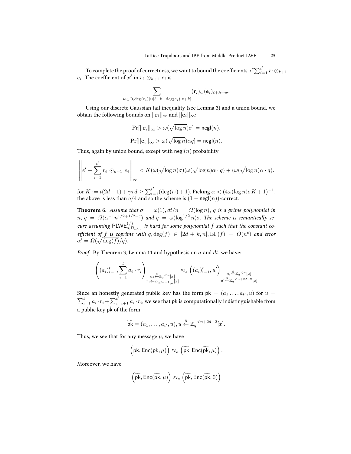To complete the proof of correctness, we want to bound the coefficients of  $\sum_{i=1}^{t'} r_i\odot_{k+1}$  $e_i$ . The coefficient of  $x^\ell$  in  $r_i \odot_{k+1} e_i$  is

$$
\sum_{w\in [0,\deg(r_i)]\cap [\ell+k-\deg(e_i),z+k]} (\mathbf{r}_i)_w(\mathbf{e}_i)_{\ell+k-w}.
$$

Using our discrete Gaussian tail inequality (see Lemma 3) and a union bound, we obtain the following bounds on  $||{\bf r}_i||_{\infty}$  and  $||{\bf e}_i||_{\infty}$ :

$$
Pr[||\mathbf{r}_i||_{\infty} > \omega(\sqrt{\log n})\sigma] = \mathsf{negl}(n).
$$
  

$$
Pr[||\mathbf{e}_i||_{\infty} > \omega(\sqrt{\log n})\alpha q] = \mathsf{negl}(n).
$$

Thus, again by union bound, except with  $negl(n)$  probability

$$
\left\|e' - \sum_{i=1}^{t'} r_i \odot_{k+1} e_i\right\|_{\infty} < K(\omega(\sqrt{\log n})\sigma)(\omega(\sqrt{\log n})\alpha \cdot q) + (\omega(\sqrt{\log n})\alpha \cdot q).
$$

for  $K := t(2d-1) + \gamma \tau d \ge \sum_{i=1}^{t'} (\deg(r_i) + 1)$ . Picking  $\alpha < (4\omega(\log n)\sigma K + 1)^{-1}$ , the above is less than  $q/4$  and so the scheme is  $(1 - \mathsf{negl}(n))$ -correct.

**Theorem 6.** Assume that  $\sigma = \omega(1), dt/n = \Omega(\log n), q$  is a prime polynomial in  $n, q = \Omega(\alpha^{-1}n^{1/2+1/2+c})$  and  $q = \omega(\log^{1/2} n)\sigma$ . The scheme is semantically secure assuming  $\mathsf{PLWE}_{q,D_{\alpha',q}}^{(f)}$  is hard for some polynomial f such that the constant coefficient of f is coprime with  $q, \deg(f) \in [2d + k, n], \text{EF}(f) = O(n^c)$  and error  $\alpha' = \Omega(\sqrt{\deg(f)}/q).$ 

*Proof.* By Theorem 3, Lemma 11 and hypothesis on  $\sigma$  and dt, we have:

$$
\left( (a_i)_{i=1}^t, \sum_{i=1}^t a_i \cdot r_i \right)_{\substack{a_i \overset{\$} \sim \mathbb{Z}_q < n_{[x]} \\ r_i \leftarrow D_{\mathbb{Z}^{2d-1}, \sigma}[x]}} \approx_s \left( (a_i)_{i=1}^t, u' \right)_{\substack{a_i \overset{\$} \sim \mathbb{Z}_q < n_{[x]} \\ u' \overset{\$} \sim \mathbb{Z}_q < n+2d-2_{[x]}}}
$$

Since an honestly generated public key has the form  $\mathsf{pk} = (a_1 \ldots, a_{t'}, u)$  for  $u =$  $\sum_{i=1}^t a_i\cdot r_i + \sum_{i=t+1}^{t'} a_i\cdot r_i,$  we see that <code>pk</code> is computationally indistinguishable from a public key pk of the form

$$
\widetilde{\mathsf{pk}} = (a_1, \dots, a_{t'}, u), u \stackrel{\$}{\leftarrow} \mathbb{Z}_q^{
$$

Thus, we see that for any message  $\mu$ , we have

$$
\Big(\text{pk},\text{Enc}(\text{pk},\mu)\Big)\approx_s \Big(\widetilde{\text{pk}},\text{Enc}(\widetilde{\text{pk}},\mu)\Big)\,.
$$

Moreover, we have

$$
\left(\widetilde{\mathsf{pk}},\mathsf{Enc}(\widetilde{\mathsf{pk}},\mu)\right)\approx_c\left(\widetilde{\mathsf{pk}},\mathsf{Enc}(\widetilde{\mathsf{pk}},0)\right)
$$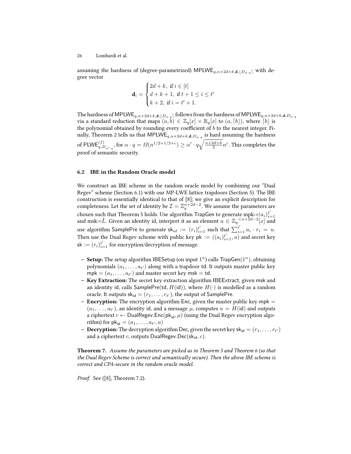assuming the hardness of (degree-parametrized) MPLWE<sub> $a,n+2d+k,d,|D_{\alpha,c}|$ </sub> with degree vector

$$
\mathbf{d}_{i} = \begin{cases} 2d + k, \text{ if } i \in [t] \\ d + k + 1, \text{ if } t + 1 \leq i \leq t' \\ k + 2, \text{ if } i = t' + 1. \end{cases}
$$

The hardness of MPLWE $_{q,n+2d+k,\mathbf{d},\lfloor D_{\alpha\cdot q}\rfloor}$  follows from the hardness of MPLWE $_{q,n+2d+k,\mathbf{d},D_{\alpha\cdot q}}$ via a standard reduction that maps  $(a, b) \in \mathbb{Z}_q[x] \times \mathbb{R}_q[x]$  to  $(a, \lceil b \rceil)$ , where  $\lceil b \rceil$  is the polynomial obtained by rounding every coefficient of  $b$  to the nearest integer. Finally, Theorem 2 tells us that  $\mathsf{MPLWE}_{q,n+2d+k,\mathbf{d},D_{\alpha\cdot q}}$  is hard assuming the hardness of PLWE $_{q,D_{\alpha',q}}^{(f)}$ , for  $\alpha\cdot q=\varOmega(n^{1/2+1/2+c})\geq \alpha'\cdot q\sqrt{\frac{n+2d+k}{2}}n^c.$  This completes the proof of semantic security.

#### 6.2 IBE in the Random Oracle model

We construct an IBE scheme in the random oracle model by combining our "Dual Regev" scheme (Section 6.1) with our MP-LWE lattice trapdoors (Section 5). The IBE construction is essentially identical to that of [8]; we give an explicit description for completeness. Let the set of identity be  $\mathcal{I}=\mathbb{Z}_q^{n+2d-2}.$  We assume the parameters are chosen such that Theorem 5 holds. Use algorithm TrapGen to generate mpk:= $(a_i)_{i=1}^{t'}$  and msk:= $\tilde{L}$ . Given an identity id, interpret it as an element  $u \in \mathbb{Z}_q^{\ltimes n+2d-2}[x]$  and use algorithm SamplePre to generate sk $_{id}$   $:=$   $(r_i)_{i=1}^{t'}$  such that  $\sum_{i=1}^{t'} a_i \cdot r_i = u.$ Then use the Dual Regev scheme with public key  $\mathsf{pk} := ((a_i)_{i=1}^{t'}, u)$  and secret key sk :=  $(r_i)_{i=1}^{t'}$  for encryption/decryption of message.

- Setup: The setup algorithm IBESetup (on input  $1^n$ ) calls TrapGen $(1^n)$ , obtaining polynomials  $(a_1,\ldots,a_{t'})$  along with a trapdoor td. It outputs master public key  $mpk = (a_1, \ldots, a_{t'})$  and master secret key msk = td.
- Key Extraction: The secret key extraction algorithm IBEExtract, given msk and an identity id, calls SamplePre(td,  $H(id)$ ), where  $H(\cdot)$  is modelled as a random oracle. It outputs  $\mathsf{sk}_{\mathsf{id}} = (r_1, \ldots, r_{t'})$ , the output of SamplePre.
- **Encryption:** The encryption algorithm Enc, given the master public key mpk  $=$  $(a_1, \ldots, a_{t'})$ , an identity id, and a message  $\mu$ , computes  $u = H(\mathsf{id})$  and outputs a ciphertext  $c \leftarrow$  DualRegev.Enc(p $k_{id}, \mu$ ) (using the Dual Regev encryption algorithm) for  $\mathsf{pk}_{\mathsf{id}} = (a_1, \ldots, a_{t'}, u)$
- **Decryption:** The decryption algorithm Dec, given the secret key sk<sub>id</sub>  $=(r_1,\ldots,r_{t'})$ and a ciphertext c, outputs DualRegev.Dec(sk<sub>id</sub>, c).

Theorem 7. Assume the parameters are picked as in Theorem 5 and Theorem 6 (so that the Dual Regev Scheme is correct and semantically secure). Then the above IBE scheme is correct and CPA-secure in the random oracle model.

Proof. See ([8], Theorem 7.2).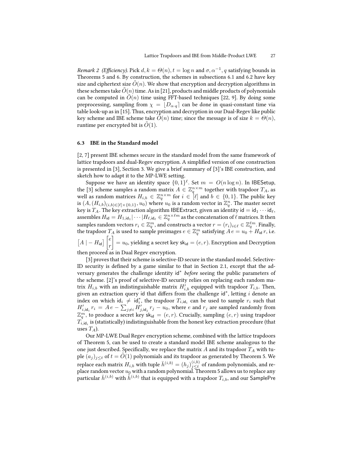*Remark 2 (Efficiency).* Pick  $d, k = \Theta(n)$ ,  $t = \log n$  and  $\sigma, \alpha^{-1}, q$  satisfying bounds in Theorems 5 and 6. By construction, the schemes in subsections 6.1 and 6.2 have key size and ciphertext size  $O(n)$ . We show that encryption and decryption algorithms in these schemes take  $\tilde{O}(n)$  time. As in [21], products and middle products of polynomials can be computed in  $\tilde{O}(n)$  time using FFT-based techniques [22, 9]. By doing some preprocessing, sampling from  $\chi = |D_{\alpha q}|$  can be done in quasi-constant time via table look-up as in [15]. Thus, encryption and decryption in our Dual-Regev like public key scheme and IBE scheme take  $\tilde{O}(n)$  time; since the message is of size  $k = \Theta(n)$ . runtime per encrypted bit is  $O(1)$ .

#### 6.3 IBE in the Standard model

[2, 7] present IBE schemes secure in the standard model from the same framework of lattice trapdoors and dual-Regev encryption. A simplied version of one construction is presented in [3], Section 3. We give a brief summary of [3]'s IBE construction, and sketch how to adapt it to the MP-LWE setting.

Suppose we have an identity space  $\{0,1\}^{\ell}$ . Set  $m\ =\ O(n\log n).$  In <code>IBESetup</code>, the [3] scheme samples a random matrix  $A \in \mathbb{Z}_q^{n \times m}$  together with trapdoor  $T_A$ , as well as random matrices  $H_{i,b} \in \mathbb{Z}_q^{n \times m}$  for  $i \in [\ell]$  and  $b \in \{0,1\}$ . The public key is  $(A, (H_{i,b})_{(i,b)\in [\ell]\times \{0,1\}}, u_0)$  where  $u_0$  is a random vector in  $\mathbb{Z}_q^n$ . The master secret key is  $T_A$ . The key extraction algorithm IBEExtract, given an identity  $\mathsf{id} = \mathsf{id}_1 \cdots \mathsf{id}_\ell$ , assembles  $H_{\sf id} = H_{1,\sf id_1}|\cdots|H_{\ell,\sf id_\ell}\in \Z_q^{n\times \ell m}$  as the concatenation of  $\ell$  matrices. It then samples random vectors  $r_i \in \mathbb{Z}_q^m$ , and constructs a vector  $r = (r_i)_{i \in \ell} \in \mathbb{Z}_q^{\ell m}$ . Finally, the trapdoor  $T_A$  is used to sample preimages  $e \in \mathbb{Z}_q^m$  satisfying  $A e = u_0 + H_{\text{id}} r$ , i.e.  $\left[A \mid -H_{\text{id}}\right] \begin{bmatrix} e \\ h \end{bmatrix}$ r  $\Big] = u_0,$  yielding a secret key sk $_{\mathsf{id}} = (e, r)$ . Encryption and Decryption then proceed as in Dual Regev encryption.

[3] proves that their scheme is selective-ID secure in the standard model. Selective-ID security is defined by a game similar to that in Section 2.1, except that the adversary generates the challenge identity id<sup>\*</sup> before seeing the public parameters of the scheme. [2]'s proof of selective-ID security relies on replacing each random matrix  $H_{i,b}$  with an indistinguishable matrix  $H'_{i,b}$  equipped with trapdoor  $T_{i,b}$ . Then, given an extraction query id that differs from the challenge id\*, letting i denote an index on which  $id_i \neq id_i^*$ , the trapdoor  $T_{i, id_i}$  can be used to sample  $r_i$  such that  $H'_{i, id_i} r_i = A e - \sum_{j \neq i} H'_{j, id_j} r_j - u_0$ , where e and  $r_j$  are sampled randomly from  $\mathbb{Z}_q^m$ , to produce a secret key sk<sub>id</sub> =  $(e, r)$ . Crucially, sampling  $(e, r)$  using trapdoor  $T_{i, \mathsf{id}_i}$  is (statistically) indistinguishable from the honest key extraction procedure (that uses  $T_A$ ).

Our MP-LWE Dual Regev encryption scheme, combined with the lattice trapdoors of Theorem 5, can be used to create a standard model IBE scheme analogous to the one just described. Specifically, we replace the matrix A and its trapdoor  $T_A$  with tuple  $(a_j)_{j\leq t}$  of  $t = O(1)$  polynomials and its trapdoor as generated by Theorem 5. We replace each matrix  $H_{i,b}$  with tuple  $\bar h^{(i,b)} = (h_j)_{i < t}^{(i,b)}$  $j \leq t \atop j \leq t$  of random polynomials, and replace random vector  $u_0$  with a random polynomial. Theorem 5 allows us to replace any particular  $\bar{h}^{(i,b)}$  with  $\tilde{h}^{(i,b)}$  that is equipped with a trapdoor  $T_{i,b}$ , and our SamplePre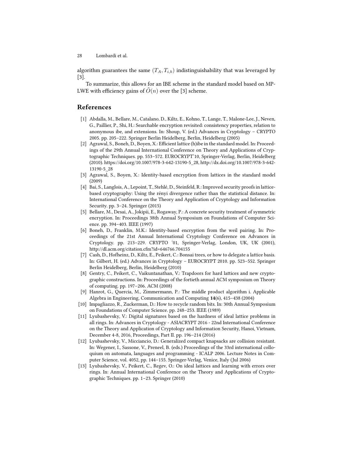algorithm guarantees the same  $(T_A, T_{i,b})$  indistinguishability that was leveraged by [3].

To summarize, this allows for an IBE scheme in the standard model based on MP-LWE with efficiency gains of  $O(n)$  over the [3] scheme.

## References

- [1] Abdalla, M., Bellare, M., Catalano, D., Kiltz, E., Kohno, T., Lange, T., Malone-Lee, J., Neven, G., Paillier, P., Shi, H.: Searchable encryption revisited: consistency properties, relation to anonymous ibe, and extensions. In: Shoup, V. (ed.) Advances in Cryptology – CRYPTO 2005. pp. 205–222. Springer Berlin Heidelberg, Berlin, Heidelberg (2005)
- [2] Agrawal, S., Boneh, D., Boyen, X.: Efficient lattice (h)ibe in the standard model. In: Proceedings of the 29th Annual International Conference on Theory and Applications of Cryptographic Techniques. pp. 553–572. EUROCRYPT'10, Springer-Verlag, Berlin, Heidelberg (2010). https://doi.org/10.1007/978-3-642-13190-5\_28, http://dx.doi.org/10.1007/978-3-642- 13190-5\_28
- [3] Agrawal, S., Boyen, X.: Identity-based encryption from lattices in the standard model (2009)
- [4] Bai, S., Langlois, A., Lepoint, T., Stehlé, D., Steinfeld, R.: Improved security proofs in latticebased cryptography: Using the rényi divergence rather than the statistical distance. In: International Conference on the Theory and Application of Cryptology and Information Security. pp. 3–24. Springer (2015)
- [5] Bellare, M., Desai, A., Jokipii, E., Rogaway, P.: A concrete security treatment of symmetric encryption. In: Proceedings 38th Annual Symposium on Foundations of Computer Science. pp. 394–403. IEEE (1997)
- [6] Boneh, D., Franklin, M.K.: Identity-based encryption from the weil pairing. In: Proceedings of the 21st Annual International Cryptology Conference on Advances in Cryptology. pp. 213–229. CRYPTO '01, Springer-Verlag, London, UK, UK (2001), http://dl.acm.org/citation.cfm?id=646766.704155
- [7] Cash, D., Hofheinz, D., Kiltz, E., Peikert, C.: Bonsai trees, or how to delegate a lattice basis. In: Gilbert, H. (ed.) Advances in Cryptology – EUROCRYPT 2010. pp. 523–552. Springer Berlin Heidelberg, Berlin, Heidelberg (2010)
- [8] Gentry, C., Peikert, C., Vaikuntanathan, V.: Trapdoors for hard lattices and new cryptographic constructions. In: Proceedings of the fortieth annual ACM symposium on Theory of computing. pp. 197–206. ACM (2008)
- [9] Hanrot, G., Quercia, M., Zimmermann, P.: The middle product algorithm i. Applicable Algebra in Engineering, Communication and Computing 14(6), 415–438 (2004)
- [10] Impagliazzo, R., Zuckerman, D.: How to recycle random bits. In: 30th Annual Symposium on Foundations of Computer Science. pp. 248–253. IEEE (1989)
- [11] Lyubashevsky, V.: Digital signatures based on the hardness of ideal lattice problems in all rings. In: Advances in Cryptology - ASIACRYPT 2016 - 22nd International Conference on the Theory and Application of Cryptology and Information Security, Hanoi, Vietnam, December 4-8, 2016, Proceedings, Part II. pp. 196–214 (2016)
- [12] Lyubashevsky, V., Micciancio, D.: Generalized compact knapsacks are collision resistant. In: Wegener, I., Sassone, V., Preneel, B. (eds.) Proceedings of the 33rd international colloquium on automata, languages and programming - ICALP 2006. Lecture Notes in Computer Science, vol. 4052, pp. 144–155. Springer-Verlag, Venice, Italy (Jul 2006)
- [13] Lyubashevsky, V., Peikert, C., Regev, O.: On ideal lattices and learning with errors over rings. In: Annual International Conference on the Theory and Applications of Cryptographic Techniques. pp. 1–23. Springer (2010)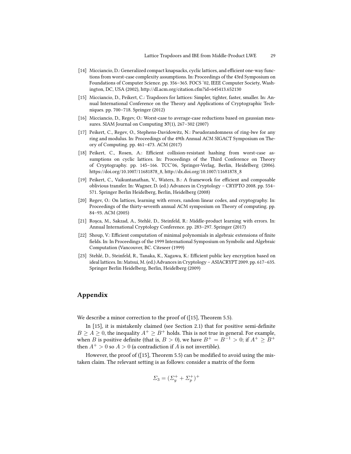- [14] Micciancio, D.: Generalized compact knapsacks, cyclic lattices, and efficient one-way functions from worst-case complexity assumptions. In: Proceedings of the 43rd Symposium on Foundations of Computer Science. pp. 356–365. FOCS '02, IEEE Computer Society, Washington, DC, USA (2002), http://dl.acm.org/citation.cfm?id=645413.652130
- [15] Micciancio, D., Peikert, C.: Trapdoors for lattices: Simpler, tighter, faster, smaller. In: Annual International Conference on the Theory and Applications of Cryptographic Techniques. pp. 700–718. Springer (2012)
- [16] Micciancio, D., Regev, O.: Worst-case to average-case reductions based on gaussian measures. SIAM Journal on Computing 37(1), 267–302 (2007)
- [17] Peikert, C., Regev, O., Stephens-Davidowitz, N.: Pseudorandomness of ring-lwe for any ring and modulus. In: Proceedings of the 49th Annual ACM SIGACT Symposium on Theory of Computing. pp. 461–473. ACM (2017)
- [18] Peikert, C., Rosen, A.: Efficient collision-resistant hashing from worst-case assumptions on cyclic lattices. In: Proceedings of the Third Conference on Theory of Cryptography. pp. 145–166. TCC'06, Springer-Verlag, Berlin, Heidelberg (2006). https://doi.org/10.1007/11681878\_8, http://dx.doi.org/10.1007/11681878\_8
- [19] Peikert, C., Vaikuntanathan, V., Waters, B.: A framework for efficient and composable oblivious transfer. In: Wagner, D. (ed.) Advances in Cryptology – CRYPTO 2008. pp. 554– 571. Springer Berlin Heidelberg, Berlin, Heidelberg (2008)
- [20] Regev, O.: On lattices, learning with errors, random linear codes, and cryptography. In: Proceedings of the thirty-seventh annual ACM symposium on Theory of computing. pp. 84–93. ACM (2005)
- [21] Roşca, M., Sakzad, A., Stehlé, D., Steinfeld, R.: Middle-product learning with errors. In: Annual International Cryptology Conference. pp. 283–297. Springer (2017)
- [22] Shoup, V.: Efficient computation of minimal polynomials in algebraic extensions of finite fields. In: In Proceedings of the 1999 International Symposium on Symbolic and Algebraic Computation (Vancouver, BC. Citeseer (1999)
- [23] Stehlé, D., Steinfeld, R., Tanaka, K., Xagawa, K.: Efficient public key encryption based on ideal lattices. In: Matsui, M. (ed.) Advances in Cryptology – ASIACRYPT 2009. pp. 617–635. Springer Berlin Heidelberg, Berlin, Heidelberg (2009)

## Appendix

We describe a minor correction to the proof of ([15], Theorem 5.5).

In [15], it is mistakenly claimed (see Section 2.1) that for positive semi-definite  $B \ge A \ge 0$ , the inequality  $A^+ \ge B^+$  holds. This is not true in general. For example, when B is positive definite (that is,  $B > 0$ ), we have  $B^+ = B^{-1} > 0$ ; if  $A^+ \ge B^+$ then  $A^+ > 0$  so  $A > 0$  (a contradiction if A is not invertible).

However, the proof of  $([15]$ , Theorem 5.5) can be modified to avoid using the mistaken claim. The relevant setting is as follows: consider a matrix of the form

$$
\Sigma_3 = (\Sigma_y^+ + \Sigma_p^+)^+
$$